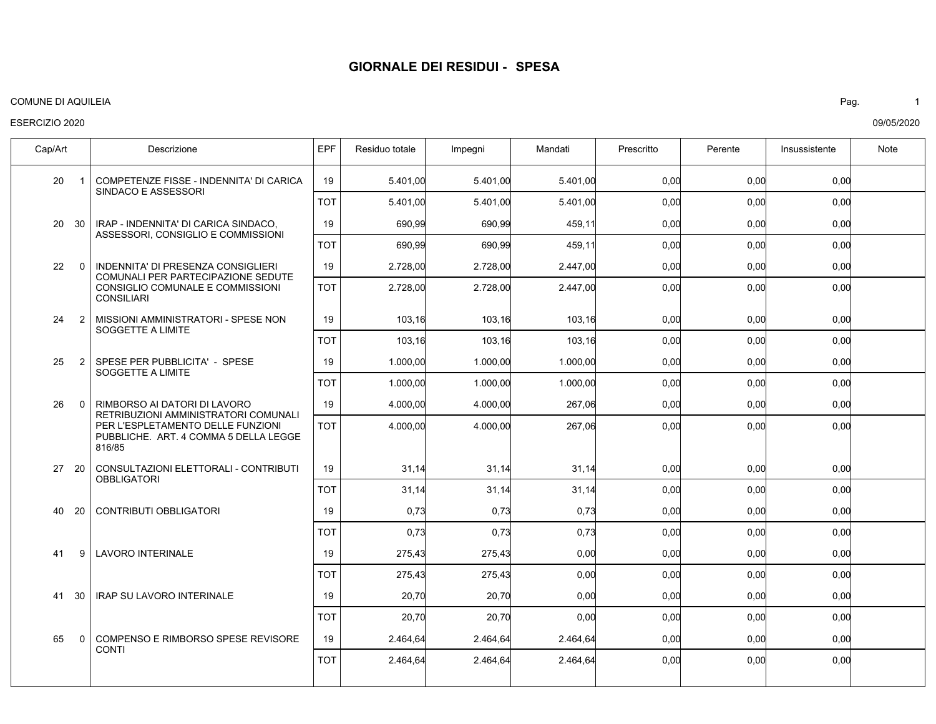#### COMUNE DI AQUILEIA Pag. 1

#### ESERCIZIO 2020

COMPETENZE FISSE - INDENNITA' DI CARICA SINDACO E ASSESSORI IRAP - INDENNITA' DI CARICA SINDACO, ASSESSORI, CONSIGLIO E COMMISSIONI INDENNITA' DI PRESENZA CONSIGLIERI COMUNALI PER PARTECIPAZIONE SEDUTE CONSIGLIO COMUNALE E COMMISSIONI CONSILIARI MISSIONI AMMINISTRATORI - SPESE NON SOGGETTE A LIMITE SPESE PER PUBBLICITA' - SPESE SOGGETTE A LIMITE RIMBORSO AI DATORI DI LAVORO RETRIBUZIONI AMMINISTRATORI COMUNALI PER L'ESPLETAMENTO DELLE FUNZIONI PUBBLICHE. ART. 4 COMMA 5 DELLA LEGGE 816/85 CONSULTAZIONI ELETTORALI - CONTRIBUTI **OBBLIGATORI** CONTRIBUTI OBBLIGATORI LAVORO INTERINALE 9 IRAP SU LAVORO INTERINALE COMPENSO E RIMBORSO SPESE REVISORE **CONTI** 20 20 22 24 25 26 27 20 40 41 41 65 Cap/Art | Descrizione IEPF Residuo totale Impegni | Mandati | Prescritto | Perente | Insussistente | Note 1 30  $\Omega$  $\mathfrak{p}$ 2  $\Omega$ 20 30 0 0,00 0,00 0,00 0,00 0,00 0,00 0,00 0,00 0,00 0,00 0,00 5.401,00 690,99 2.728,00 103,16 1.000,00 4.000,00 31,14 0,73 275,43 20,70 2.464,64 5.401,00 690,99 2.728,00 103,16 1.000,00 4.000,00 31,14 0,73 275,43 20,70 2.464,64 5.401,00 459,11 2.447,00 103,16 1.000,00 267,06 31,14 0,73 0,00 0,00 2.464,64 0,00 0,00 0,00 0,00 0,00 0,00 0,00 0,00 0,00 0,00 0,00 0,00 0,00 0,00 0,00 0,00 0,00 0,00 0,00 0,00 0,00 0,00 19 19 19 19 19 19 19 19 19 19 19 0,00 0,00 0,00 0,00 0,00 0,00 0,00 0,00 0,00 0,00 0,00 5.401,00 690,99 2.728,00 103,16 1.000,00 4.000,00 31,14 0,73 275,43 20,70 2.464,64 5.401,00 690,99 2.728,00 103,16 1.000,00 4.000,00 31,14 0,73 275,43 20,70 2.464,64 5.401,00 459,11 2.447,00 103,16 1.000,00 267,06 31,14 0,73 0,00 0,00 2.464,64 0,00 0,00 0,00 0,00 0,00 0,00 0,00 0,00 0,00 0,00 0,00 0,00 0,00 0,00 0,00 0,00 0,00 0,00 0,00 0,00 0,00 0,00 TOT TOT TOT TOT TOT TOT TOT TOT TOT TOT TOT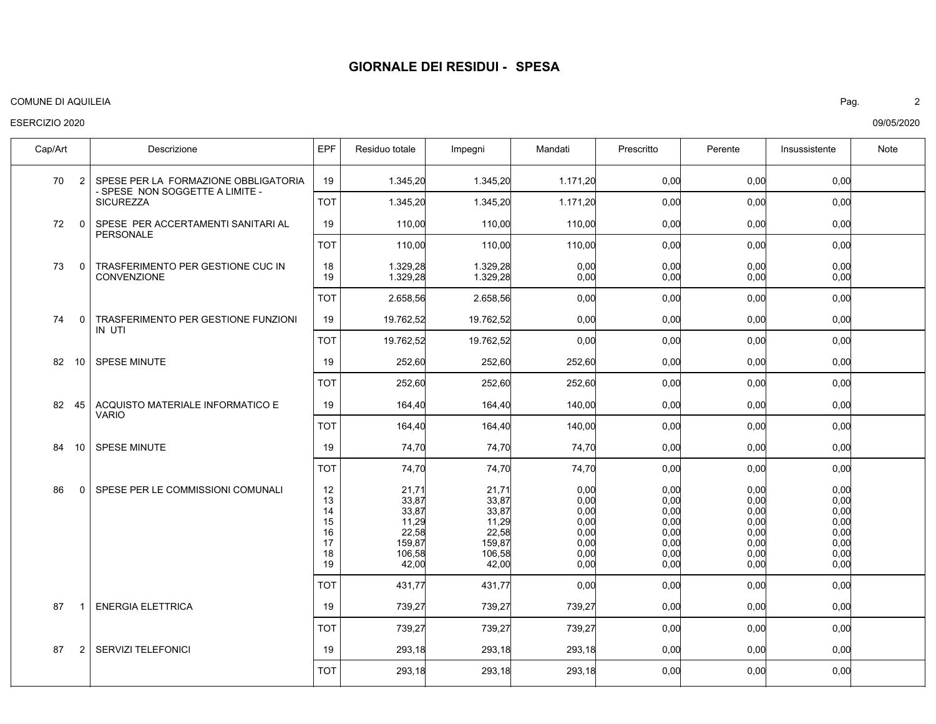#### COMUNE DI AQUILEIA Pag. 2

## ESERCIZIO 2020

SPESE PER LA FORMAZIONE OBBLIGATORIA - SPESE NON SOGGETTE A LIMITE - **SICUREZZA** SPESE PER ACCERTAMENTI SANITARI AL PERSONALE TRASFERIMENTO PER GESTIONE CUC IN **CONVENZIONE** TRASFERIMENTO PER GESTIONE FUNZIONI IN UTI SPESE MINUTE ACQUISTO MATERIALE INFORMATICO E VARIO SPESE MINUTE SPESE PER LE COMMISSIONI COMUNALI ENERGIA ELETTRICA SERVIZI TELEFONICI 70 72 73 74 82 82 45 84 86 87 87 Cap/Art | Descrizione IEPF Residuo totale Impegni | Mandati | Prescritto | Perente | Insussistente | Note 2  $\Omega$  $\Omega$  $\Omega$ 10 10 0 1 2 0,00 0,00 0,00  $0.00$ 0,00 0,00 0,00 0,00 0,00 0,00  $0.00$  $0.00$ 0,00  $0.00$ 0,00  $0.00$ 0,00 0,00 1.345,20 110,00 1.329,28 1.329,28 19.762,52 252,60 164,40 74,70 21,71 33,87 33,87 11,29 22,58 159,87 106,58 42,00 739,27 293,18 1.345,20 110,00 1.329,28 1.329,28 19.762,52 252,60 164,40 74,70 21,71 33,87 33,87 11,29 22,58 159,87 106,58 42,00 739,27 293,18 1.171,20 110,00 0,00  $0.00$ 0,00 252,60 140,00 74,70 0,00 0,00  $0.00$  $0.00$ 0,00  $0.00$ 0,00  $0.00$ 739,27 293,18 0,00 0,00 0,00  $0.00$ 0,00 0,00 0,00 0,00 0,00 0,00  $0.00$ 0,00 0,00 0,00 0,00 0,00 0,00 0,00 0,00 0,00 0,00  $0.00$ 0,00 0,00 0,00 0,00 0,00 0,00 0,00 0,00 0,00 0,00 0,00 0,00 0,00 0,00 19 19 18 19 19 19 19 19 12 13 14 15 16 17 18 19 19 19 0,00 0,00 0,00 0,00 0,00 0,00 0,00 0,00 0,00 0,00 1.345,20 110,00 2.658,56 19.762,52 252,60 164,40 74,70 431,77 739,27 293,18 1.345,20 110,00 2.658,56 19.762,52 252,60 164,40 74,70 431,77 739,27 293,18 1.171,20 110,00 0,00 0,00 252,60 140,00 74,70 0,00 739,27 293,18 0,00 0,00 0,00 0,00 0,00 0,00 0,00 0,00 0,00 0,00 0,00 0,00 0,00 0,00 0,00 0,00 0,00 0,00 0,00 0,00 TOT TOT TOT TOT TOT TOT TOT TOT TOT TOT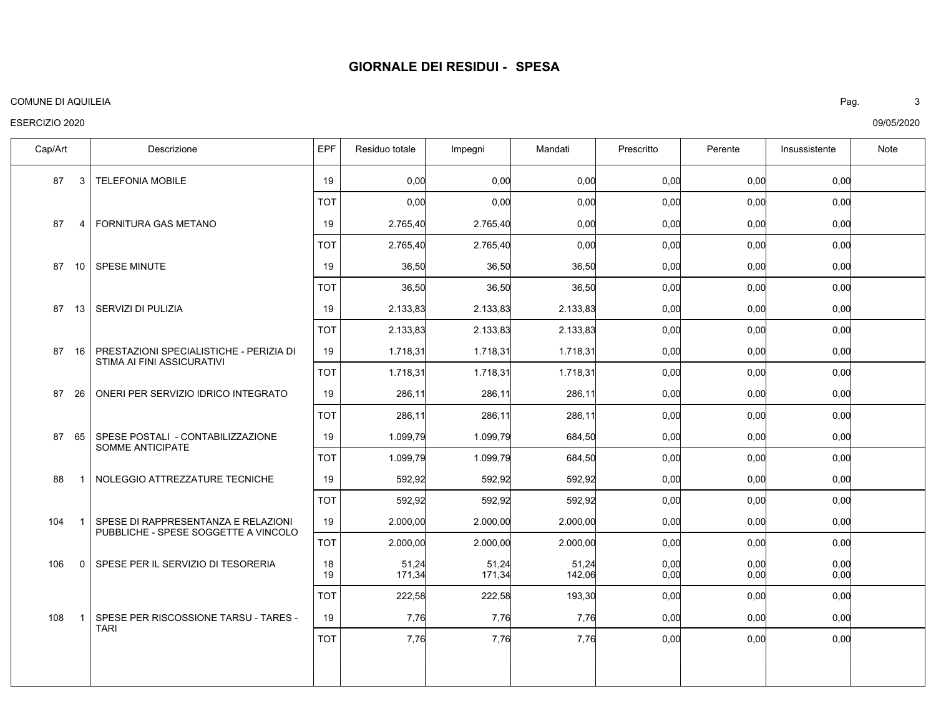#### COMUNE DI AQUILEIA Pag. 3

## ESERCIZIO 2020

TELEFONIA MOBILE FORNITURA GAS METANO SPESE MINUTE SERVIZI DI PULIZIA PRESTAZIONI SPECIALISTICHE - PERIZIA DI STIMA AI FINI ASSICURATIVI ONERI PER SERVIZIO IDRICO INTEGRATO SPESE POSTALI - CONTABILIZZAZIONE SOMME ANTICIPATE NOLEGGIO ATTREZZATURE TECNICHE SPESE DI RAPPRESENTANZA E RELAZIONI PUBBLICHE - SPESE SOGGETTE A VINCOLO SPESE PER IL SERVIZIO DI TESORERIA SPESE PER RISCOSSIONE TARSU - TARES - TARI 87 87 87 87 87 87 87 88 104 106 108 Cap/Art | Descrizione IEPF Residuo totale Impegni | Mandati | Prescritto | Perente | Insussistente | Note 3 4  $10<sup>1</sup>$ 13 16 26 65 1 1  $\Omega$ 1 0,00 0,00 0,00 0,00 0,00 0,00 0,00 0,00 0,00 0,00 0,00 0,00 0,00 2.765,40 36,50 2.133,83 1.718,31 286,11 1.099,79 592,92 2.000,00 51,24 171,34 7,76 0,00 2.765,40 36,50 2.133,83 1.718,31 286,11 1.099,79 592,92 2.000,00 51,24 171,34 7,76 0,00 0,00 36,50 2.133,83 1.718,31 286,11 684,50 592,92 2.000,00 51,24 142,06 7,76 0,00 0,00 0,00 0,00 0,00 0,00 0,00 0,00 0,00 0,00 0,00 0,00 0,00 0,00 0,00 0,00 0,00 0,00 0,00 0,00 0,00 0,00 0,00 0,00 19 19 19 19 19 19 19 19 19 18 19 19 0,00 0,00 0,00 0,00 0,00 0,00 0,00 0,00 0,00 0,00 0,00 0,00 2.765,40 36,50 2.133,83 1.718,31 286,11 1.099,79 592,92 2.000,00 222,58 7,76 0,00 2.765,40 36,50 2.133,83 1.718,31 286,11 1.099,79 592,92 2.000,00 222,58 7,76 0,00 0,00 36,50 2.133,83 1.718,31 286,11 684,50 592,92 2.000,00 193,30 7,76 0,00 0,00 0,00 0,00 0,00 0,00 0,00 0,00 0,00 0,00 0,00 0,00 0,00 0,00 0,00 0,00 0,00 0,00 0,00 0,00 0,00 0,00 TOT TOT TOT TOT TOT TOT TOT TOT TOT TOT TOT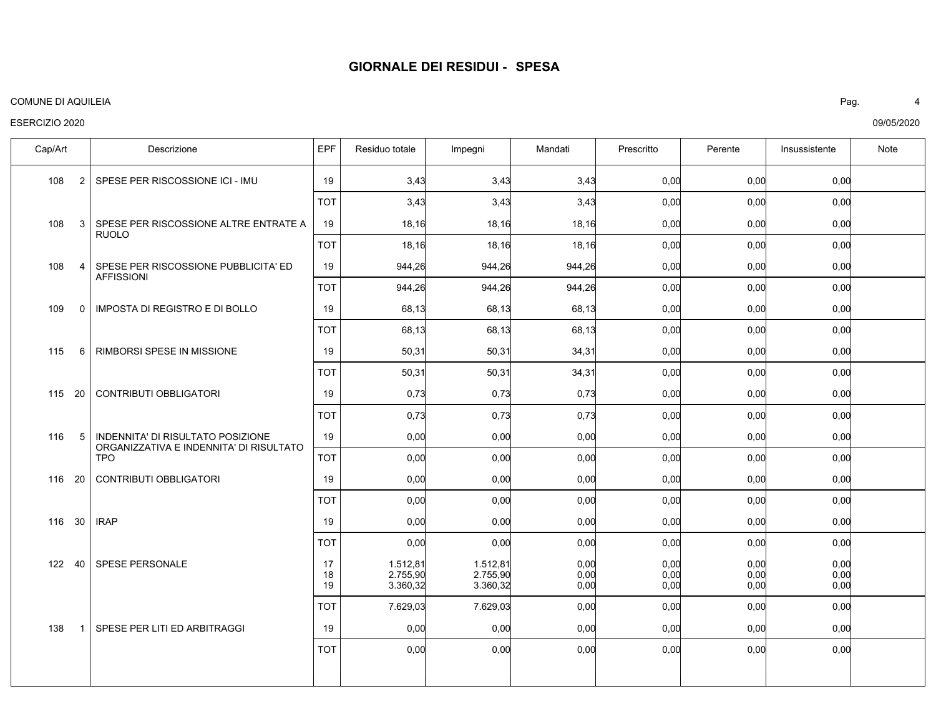#### COMUNE DI AQUILEIA Pag. 4

## ESERCIZIO 2020

SPESE PER RISCOSSIONE ICI - IMU SPESE PER RISCOSSIONE ALTRE ENTRATE A RUOLO SPESE PER RISCOSSIONE PUBBLICITA' ED AFFISSIONI IMPOSTA DI REGISTRO E DI BOLLO RIMBORSI SPESE IN MISSIONE CONTRIBUTI OBBLIGATORI INDENNITA' DI RISULTATO POSIZIONE ORGANIZZATIVA E INDENNITA' DI RISULTATO TPO CONTRIBUTI OBBLIGATORI IRAP SPESE PERSONALE SPESE PER LITI ED ARBITRAGGI 108 108 108 109 115 115 116 116 20 116 122 40 138 Cap/Art | Descrizione IEPF Residuo totale Impegni | Mandati | Prescritto | Perente | Insussistente | Note 2 3 4 0 6 20 5 30 1 0,00 0,00 0,00 0,00 0,00 0,00 0,00 0,00 0,00 0,00 0,00 0,00 0,00 3,43 18,16 944,26 68,13 50,31 0,73 0,00 0,00 0,00 1.512,81 2.755,90 3.360,32 0,00 3,43 18,16 944,26 68,13 50,31 0,73 0,00 0,00 0,00 1.512,81 2.755,90 3.360,32 0,00 3,43 18,16 944,26 68,13 34,31 0,73 0,00 0,00 0,00 0,00 0,00 0,00 0,00 0,00 0,00 0,00 0,00 0,00 0,00 0,00 0,00 0,00 0,00 0,00 0,00 0,00 0,00 0,00 0,00 0,00 0,00 0,00 0,00 0,00 0,00 0,00 0,00 0,00 0,00 19 19 19 19 19 19 19 19 19 17 18 19 19 0,00 0,00 0,00 0,00 0,00 0,00 0,00 0,00 0,00 0,00 0,00 3,43 18,16 944,26 68,13 50,31 0,73 0,00 0,00 0,00 7.629,03 0,00 3,43 18,16 944,26 68,13 50,31 0,73 0,00 0,00 0,00 7.629,03 0,00 3,43 18,16 944,26 68,13 34,31 0,73 0,00 0,00 0,00 0,00 0,00 0,00 0,00 0,00 0,00 0,00 0,00 0,00 0,00 0,00 0,00 0,00 0,00 0,00 0,00 0,00 0,00 0,00 0,00 0,00 0,00 0,00 0,00 TOT TOT TOT TOT TOT TOT TOT TOT TOT TOT TOT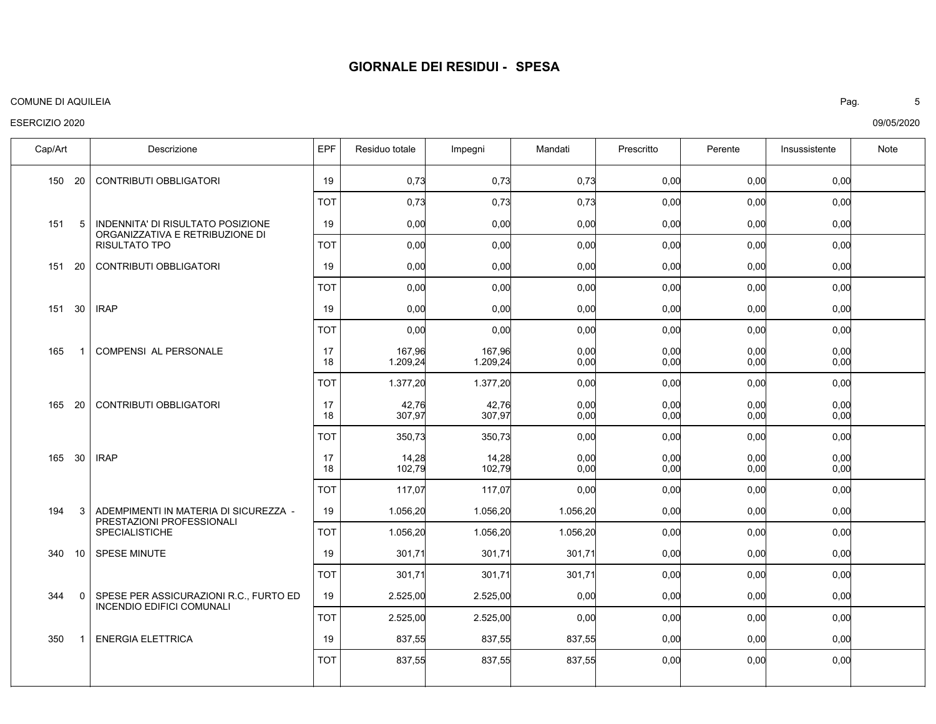#### COMUNE DI AQUILEIA Pag. 5

## ESERCIZIO 2020

CONTRIBUTI OBBLIGATORI INDENNITA' DI RISULTATO POSIZIONE ORGANIZZATIVA E RETRIBUZIONE DI RISULTATO TPO CONTRIBUTI OBBLIGATORI IRAP COMPENSI AL PERSONALE CONTRIBUTI OBBLIGATORI IRAP ADEMPIMENTI IN MATERIA DI SICUREZZA - PRESTAZIONI PROFESSIONALI SPECIALISTICHE SPESE MINUTE SPESE PER ASSICURAZIONI R.C., FURTO ED INCENDIO EDIFICI COMUNALI ENERGIA ELETTRICA 150 151 151 20 151 165 165 165 194 340 344 350 Cap/Art | Descrizione IEPF Residuo totale Impegni | Mandati | Prescritto | Perente | Insussistente | Note 20 5 30 1 20 30 3  $10$  $0<sup>1</sup>$ 1 0,00 0,00 0,00 0,00 0,00 0,00 0,00 0,00 0,00  $0.00$ 0,00 0,00 0,00 0,00 0,73 0,00 0,00 0,00 167,96 1.209,24 42,76 307,97 14,28 102,79 1.056,20 301,71 2.525,00 837,55 0,73 0,00 0,00 0,00 167,96 1.209,24 42,76 307,97 14,28 102,79 1.056,20 301,71 2.525,00 837,55 0,73 0,00 0,00 0,00 0,00  $0.00$ 0,00  $0.00$ 0,00 0,00 1.056,20 301,71 0,00 837,55 0,00 0,00 0,00 0,00 0,00 0,00 0,00 0,00 0,00 0,00 0,00 0,00 0,00 0,00 0,00 0,00 0,00 0,00 0,00 0,00 0,00 0,00 0,00 0,00 0,00 0,00 0,00 0,00 19 19 19 19 17 18 17 18 17 18 19 19 19 19 0,00 0,00 0,00 0,00 0,00 0,00 0,00 0,00 0,00 0,00 0,00 0,73 0,00 0,00 0,00 1.377,20 350,73 117,07 1.056,20 301,71 2.525,00 837,55 0,73 0,00 0,00 0,00 1.377,20 350,73 117,07 1.056,20  $301.7'$ 2.525,00 837,55 0,73 0,00 0,00 0,00 0,00 0,00 0,00 1.056,20 301,71 0,00 837,55 0,00 0,00 0,00 0,00 0,00 0,00 0,00 0,00 0,00 0,00 0,00 0,00 0,00 0,00 0,00 0,00 0,00 0,00 0,00 0,00 0,00 0,00 TOT TOT TOT TOT TOT TOT TOT TOT TOT TOT TOT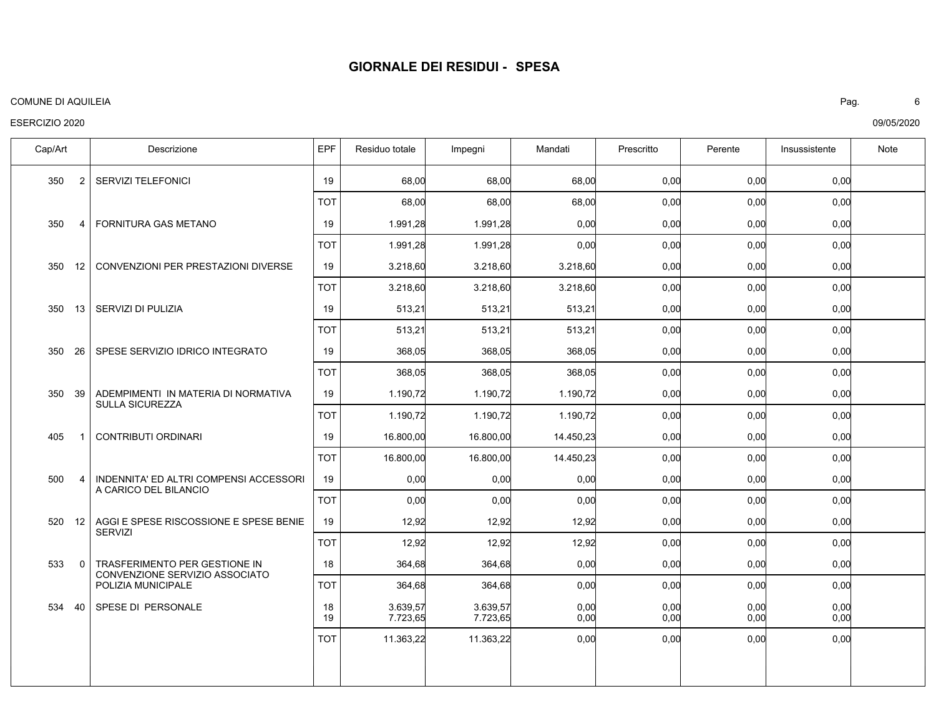#### COMUNE DI AQUILEIA Pag. 6

## ESERCIZIO 2020

SERVIZI TELEFONICI FORNITURA GAS METANO CONVENZIONI PER PRESTAZIONI DIVERSE SERVIZI DI PULIZIA SPESE SERVIZIO IDRICO INTEGRATO ADEMPIMENTI IN MATERIA DI NORMATIVA SULLA SICUREZZA CONTRIBUTI ORDINARI INDENNITA' ED ALTRI COMPENSI ACCESSORI A CARICO DEL BILANCIO AGGI E SPESE RISCOSSIONE E SPESE BENIE **SERVIZI** TRASFERIMENTO PER GESTIONE IN CONVENZIONE SERVIZIO ASSOCIATO POLIZIA MUNICIPALE SPESE DI PERSONALE 350 350 350 350 350 350 405 500 520 533 534 40 Cap/Art | Descrizione IEPF Residuo totale Impegni | Mandati | Prescritto | Perente | Insussistente | Note 2 4  $12$ 13 26 39 1 4  $12$ 0 0,00 0,00 0,00 0,00 0,00 0,00 0,00 0,00 0,00 0,00 0,00 0,00 68,00 1.991,28 3.218,60 513,21 368,05 1.190,72 16.800,00 0,00 12,92 364,68 3.639,57 7.723,65 68,00 1.991,28 3.218,60 513,21 368,05 1.190,72 16.800,00 0,00 12,92 364,68 3.639,57 7.723,65 68,00 0,00 3.218,60 513,21 368,05 1.190,72 14.450,23 0,00 12,92 0,00 0,00 0,00 0,00 0,00 0,00 0,00 0,00 0,00 0,00 0,00 0,00 0,00 0,00 0,00 0,00 0,00 0,00 0,00 0,00 0,00 0,00 0,00 0,00 0,00 0,00 0,00 19 19 19 19 19 19 19 19 19 18 18 19 0,00 0,00 0,00 0,00 0,00 0,00 0,00 0,00 0,00 0,00 0,00 68,00 1.991,28 3.218,60 513,21 368,05 1.190,72 16.800,00 0,00 12,92 364,68 11.363,22 68,00 1.991,28 3.218,60 513,21 368,05 1.190,72 16.800,00 0,00 12,92 364,68 11.363,22 68,00 0,00 3.218,60 513,21 368,05 1.190,72 14.450,23 0,00 12,92 0,00 0,00 0,00 0,00 0,00 0,00 0,00 0,00 0,00 0,00 0,00 0,00 0,00 0,00 0,00 0,00 0,00 0,00 0,00 0,00 0,00 0,00 0,00 0,00 TOT TOT TOT TOT TOT TOT TOT TOT TOT TOT TOT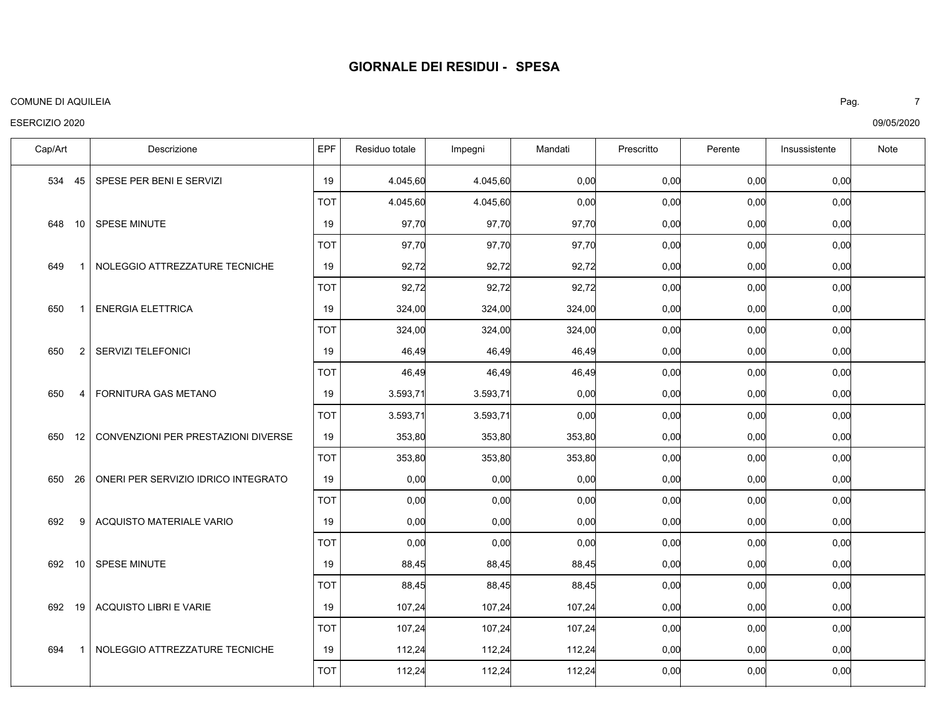#### COMUNE DI AQUILEIA Pag. 7

## ESERCIZIO 2020

SPESE PER BENI E SERVIZI SPESE MINUTE NOLEGGIO ATTREZZATURE TECNICHE ENERGIA ELETTRICA SERVIZI TELEFONICI FORNITURA GAS METANO CONVENZIONI PER PRESTAZIONI DIVERSE ONERI PER SERVIZIO IDRICO INTEGRATO ACQUISTO MATERIALE VARIO SPESE MINUTE ACQUISTO LIBRI E VARIE NOLEGGIO ATTREZZATURE TECNICHE 534 648 649 650 650 650 650 650 692 692 692 694 Cap/Art | Descrizione IEPF Residuo totale Impegni | Mandati | Prescritto | Perente | Insussistente | Note 45 10 1 1 2 4 12 26 9 10 19 1 0,00 0,00 0,00 0,00 0,00 0,00 0,00 0,00 0,00 0,00 0,00 0,00 4.045,60 97,70 92,72 324,00 46,49 3.593,71 353,80 0,00 0,00 88,45 107,24 112,24 4.045,60 97,70 92,72 324,00 46,49 3.593,71 353,80 0,00 0,00 88,45 107,24 112,24 0,00 97,70 92,72 324,00 46,49 0,00 353,80 0,00 0,00 88,45 107,24 112,24 0,00 0,00 0,00 0,00 0,00 0,00 0,00 0,00 0,00 0,00 0,00 0,00 0,00 0,00 0,00 0,00 0,00 0,00 0,00 0,00 0,00 0,00 0,00 0,00 19 19 19 19 19 19 19 19 19 19 19 19 0,00 0,00 0,00 0,00 0,00 0,00 0,00 0,00 0,00 0,00 0,00 0,00 4.045,60 97,70 92,72 324,00 46,49 3.593,71 353,80 0,00 0,00 88,45 107,24 112,24 4.045,60 97,70 92,72 324,00 46,49  $3.593.7'$ 353,80 0,00 0,00 88,45 107,24 112,24 0,00 97,70 92,72 324,00 46,49 0,00 353,80 0,00 0,00 88,45 107,24 112,24 0,00 0,00 0,00 0,00 0,00 0,00 0,00 0,00 0,00 0,00 0,00 0,00 0,00 0,00 0,00 0,00 0,00 0,00 0,00 0,00 0,00 0,00 0,00 0,00 TOT TOT TOT TOT TOT TOT TOT TOT TOT TOT TOT TOT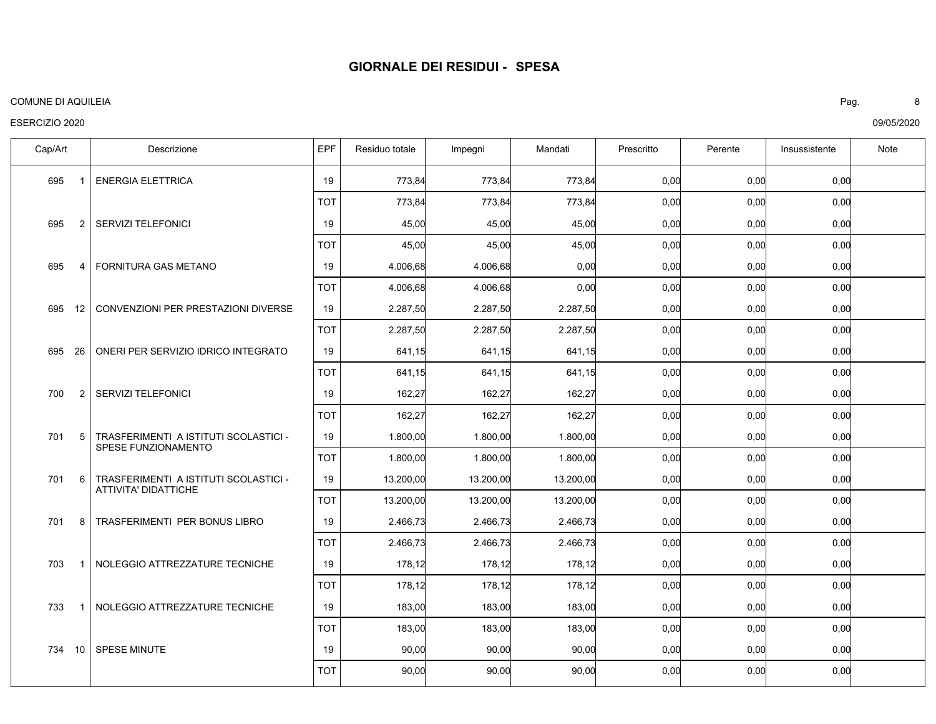#### COMUNE DI AQUILEIA Pag. 8

## ESERCIZIO 2020

ENERGIA ELETTRICA SERVIZI TELEFONICI FORNITURA GAS METANO CONVENZIONI PER PRESTAZIONI DIVERSE ONERI PER SERVIZIO IDRICO INTEGRATO SERVIZI TELEFONICI TRASFERIMENTI A ISTITUTI SCOLASTICI - SPESE FUNZIONAMENTO TRASFERIMENTI A ISTITUTI SCOLASTICI - ATTIVITA' DIDATTICHE TRASFERIMENTI PER BONUS LIBRO NOLEGGIO ATTREZZATURE TECNICHE NOLEGGIO ATTREZZATURE TECNICHE SPESE MINUTE 695 695 695 695 695 700 701 701 701 703 733 734 10 Cap/Art | Descrizione IEPF Residuo totale Impegni | Mandati | Prescritto | Perente | Insussistente | Note 1 2 4  $12$ 26 2 5 6 8 1 1 0,00 0,00 0,00 0,00 0,00 0,00 0,00 0,00 0,00 0,00 0,00 0,00 773,84 45,00 4.006,68 2.287,50 641,15 162,27 1.800,00 13.200,00 2.466,73 178,12 183,00 90,00 773,84 45,00 4.006,68 2.287,50 641,15 162,27 1.800,00 13.200,00 2.466,73 178,12 183,00 90,00 773,84 45,00 0,00 2.287,50 641,15 162,27 1.800,00 13.200,00 2.466,73 178,12 183,00 90,00 0,00 0,00 0,00 0,00 0,00 0,00 0,00 0,00 0,00 0,00 0,00 0,00 0,00 0,00 0,00 0,00 0,00 0,00 0,00 0,00 0,00 0,00 0,00 0,00 19 19 19 19 19 19 19 19 19 19 19 19 0,00 0,00 0,00 0,00 0,00 0,00 0,00 0,00 0,00 0,00 0,00 0,00 773,84 45,00 4.006,68 2.287,50 641,15 162,27 1.800,00 13.200,00 2.466,73 178,12 183,00 90,00 773,84 45,00 4.006,68 2.287,50 641,15 162,27 1.800,00 13.200,00 2.466,73 178,12 183,00 90,00 773,84 45,00 0,00 2.287,50 641,15 162,27 1.800,00 13.200,00 2.466,73 178,12 183,00 90,00 0,00 0,00 0,00 0,00 0,00 0,00 0,00 0,00 0,00 0,00 0,00 0,00 0,00 0,00 0,00 0,00 0,00 0,00 0,00 0,00 0,00 0,00 0,00 0,00 TOT TOT TOT TOT TOT TOT TOT TOT TOT TOT TOT TOT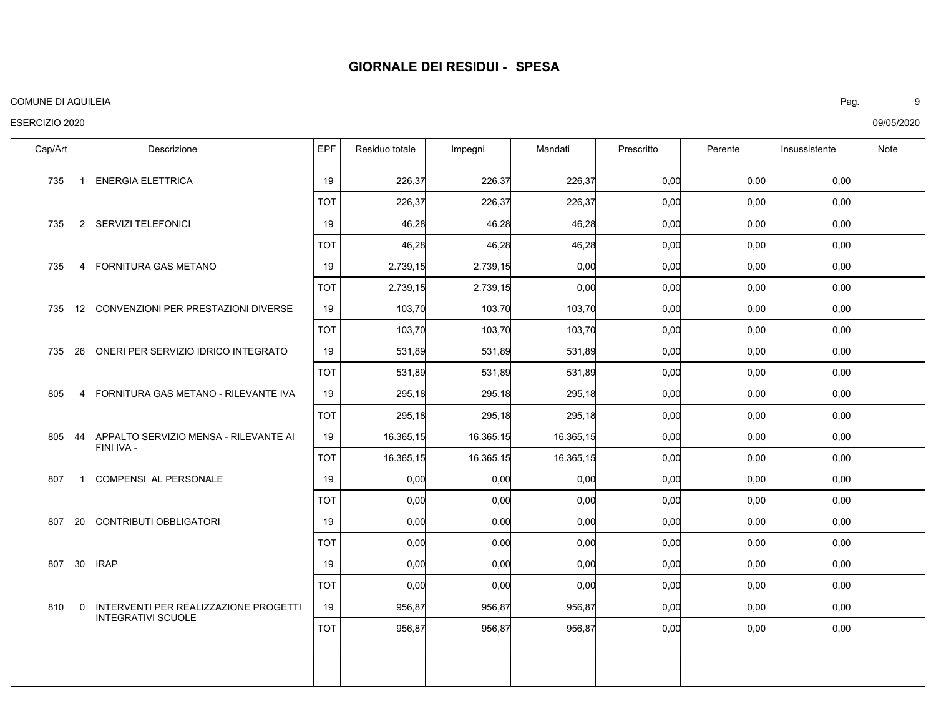#### COMUNE DI AQUILEIA Pag. 9

## ESERCIZIO 2020

ENERGIA ELETTRICA SERVIZI TELEFONICI FORNITURA GAS METANO 735 12 | CONVENZIONI PER PRESTAZIONI DIVERSE ONERI PER SERVIZIO IDRICO INTEGRATO FORNITURA GAS METANO - RILEVANTE IVA APPALTO SERVIZIO MENSA - RILEVANTE AI FINI IVA - COMPENSI AL PERSONALE CONTRIBUTI OBBLIGATORI IRAP INTERVENTI PER REALIZZAZIONE PROGETTI INTEGRATIVI SCUOLE 735 735 735 735 805 805 44 807 807 807 810 Cap/Art | Descrizione IEPF Residuo totale Impegni | Mandati | Prescritto | Perente | Insussistente | Note 1 2 4 26 4 1 20 30 0 0,00 0,00 0,00 0,00 0,00 0,00 0,00 0,00 0,00 0,00 0,00 226,37 46,28 2.739,15 103,70 531,89 295,18 16.365,15 0,00 0,00 0,00 956,87 226,37 46,28 2.739,15 103,70 531,89 295,18 16.365,15 0,00 0,00 0,00 956,87 226,37 46,28 0,00 103,70 531,89 295,18 16.365,15 0,00 0,00 0,00 956,87 0,00 0,00 0,00 0,00 0,00 0,00 0,00 0,00 0,00 0,00 0,00 0,00 0,00 0,00 0,00 0,00 0,00 0,00 0,00 0,00 0,00 0,00 19 19 19 19 19 19 19 19 19 19 19 0,00 0,00 0,00 0,00 0,00 0,00 0,00 0,00 0,00 0,00 0,00 226,37 46,28 2.739,15 103,70 531,89 295,18 16.365,15 0,00 0,00 0,00 956,87 226,37 46,28 2.739,15 103,70 531,89 295,18 16.365,15 0,00 0,00 0,00 956,87 226,37 46,28 0,00 103,70 531,89 295,18 16.365,15 0,00 0,00 0,00 956,87 0,00 0,00 0,00 0,00 0,00 0,00 0,00 0,00 0,00 0,00 0,00 0,00 0,00 0,00 0,00 0,00 0,00 0,00 0,00 0,00 0,00 0,00 TOT TOT TOT TOT TOT TOT TOT TOT TOT TOT TOT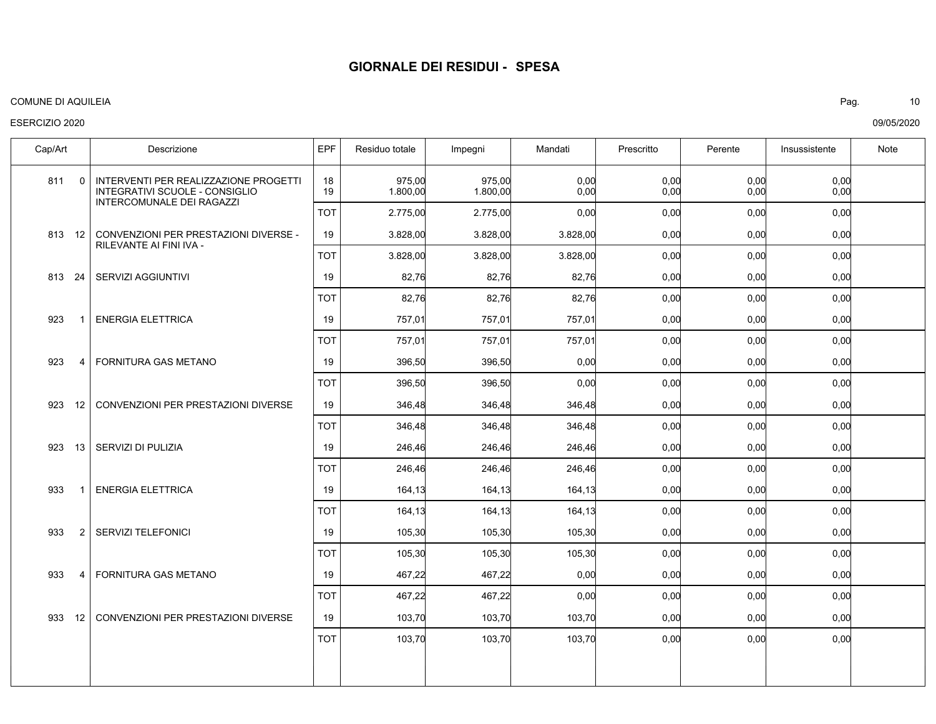#### COMUNE DI AQUILEIA Pag. 10

## ESERCIZIO 2020

| Cap/Art                | Descrizione                                                                                          | EPF        | Residuo totale     | Impegni            | Mandati      | Prescritto   | Perente      | Insussistente | Note |
|------------------------|------------------------------------------------------------------------------------------------------|------------|--------------------|--------------------|--------------|--------------|--------------|---------------|------|
| $\Omega$<br>811        | INTERVENTI PER REALIZZAZIONE PROGETTI<br>INTEGRATIVI SCUOLE - CONSIGLIO<br>INTERCOMUNALE DEI RAGAZZI | 18<br>19   | 975,00<br>1.800,00 | 975,00<br>1.800,00 | 0,00<br>0,00 | 0,00<br>0,00 | 0,00<br>0,00 | 0,00<br>0,00  |      |
|                        |                                                                                                      | <b>TOT</b> | 2.775,00           | 2.775,00           | 0,00         | 0,00         | 0,00         | 0,00          |      |
| 813 12                 | CONVENZIONI PER PRESTAZIONI DIVERSE -<br>RILEVANTE AI FINI IVA -                                     | 19         | 3.828,00           | 3.828,00           | 3.828,00     | 0,00         | 0,00         | 0,00          |      |
|                        |                                                                                                      | <b>TOT</b> | 3.828,00           | 3.828,00           | 3.828,00     | 0,00         | 0,00         | 0,00          |      |
| 813<br>-24             | SERVIZI AGGIUNTIVI                                                                                   | 19         | 82,76              | 82,76              | 82,76        | 0,00         | 0,00         | 0,00          |      |
|                        |                                                                                                      | <b>TOT</b> | 82,76              | 82,76              | 82,76        | 0,00         | 0,00         | 0,00          |      |
| 923                    | <b>ENERGIA ELETTRICA</b>                                                                             | 19         | 757,01             | 757,01             | 757,01       | 0,00         | 0,00         | 0,00          |      |
|                        |                                                                                                      | <b>TOT</b> | 757,01             | 757,01             | 757,01       | 0,00         | 0,00         | 0,00          |      |
| 923<br>4               | <b>FORNITURA GAS METANO</b>                                                                          | 19         | 396,50             | 396,50             | 0,00         | 0,00         | 0,00         | 0,00          |      |
|                        |                                                                                                      | <b>TOT</b> | 396,50             | 396,50             | 0,00         | 0,00         | 0,00         | 0,00          |      |
| 12 <sup>1</sup><br>923 | CONVENZIONI PER PRESTAZIONI DIVERSE                                                                  | 19         | 346,48             | 346,48             | 346,48       | 0,00         | 0,00         | 0,00          |      |
|                        |                                                                                                      | <b>TOT</b> | 346,48             | 346,48             | 346,48       | 0,00         | 0,00         | 0,00          |      |
| 923<br>13              | SERVIZI DI PULIZIA                                                                                   | 19         | 246,46             | 246,46             | 246,46       | 0,00         | 0,00         | 0,00          |      |
|                        |                                                                                                      | <b>TOT</b> | 246,46             | 246,46             | 246,46       | 0,00         | 0,00         | 0,00          |      |
| 933                    | <b>ENERGIA ELETTRICA</b>                                                                             | 19         | 164,13             | 164,13             | 164,13       | 0,00         | 0,00         | 0,00          |      |
|                        |                                                                                                      | <b>TOT</b> | 164,13             | 164,13             | 164,13       | 0,00         | 0,00         | 0,00          |      |
| 933<br>$\overline{2}$  | <b>SERVIZI TELEFONICI</b>                                                                            | 19         | 105,30             | 105,30             | 105,30       | 0,00         | 0,00         | 0,00          |      |
|                        |                                                                                                      | <b>TOT</b> | 105,30             | 105,30             | 105,30       | 0,00         | 0,00         | 0,00          |      |
| 933<br>$\overline{4}$  | FORNITURA GAS METANO                                                                                 | 19         | 467,22             | 467,22             | 0,00         | 0,00         | 0,00         | 0,00          |      |
|                        |                                                                                                      | <b>TOT</b> | 467,22             | 467,22             | 0,00         | 0,00         | 0,00         | 0,00          |      |
| 933<br>12              | CONVENZIONI PER PRESTAZIONI DIVERSE                                                                  | 19         | 103,70             | 103,70             | 103,70       | 0,00         | 0,00         | 0,00          |      |
|                        |                                                                                                      | <b>TOT</b> | 103,70             | 103,70             | 103,70       | 0,00         | 0,00         | 0,00          |      |
|                        |                                                                                                      |            |                    |                    |              |              |              |               |      |
|                        |                                                                                                      |            |                    |                    |              |              |              |               |      |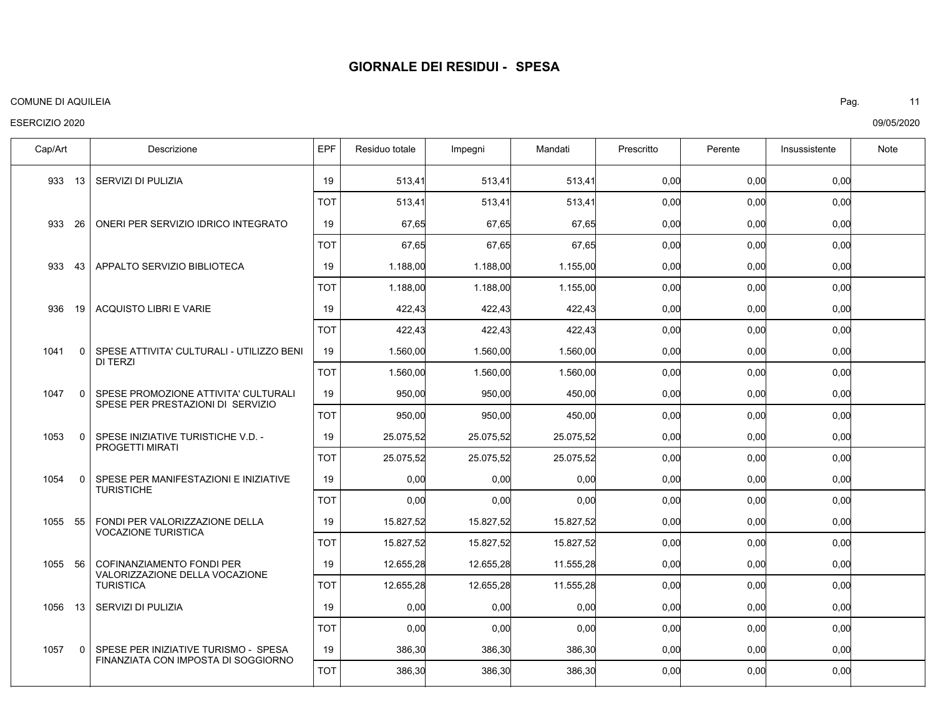#### COMUNE DI AQUILEIA Pag. 11

## ESERCIZIO 2020

SERVIZI DI PULIZIA ONERI PER SERVIZIO IDRICO INTEGRATO APPALTO SERVIZIO BIBLIOTECA ACQUISTO LIBRI E VARIE SPESE ATTIVITA' CULTURALI - UTILIZZO BENI DI TERZI SPESE PROMOZIONE ATTIVITA' CULTURALI SPESE PER PRESTAZIONI DI SERVIZIO SPESE INIZIATIVE TURISTICHE V.D. - PROGETTI MIRATI SPESE PER MANIFESTAZIONI E INIZIATIVE **TURISTICHE** FONDI PER VALORIZZAZIONE DELLA VOCAZIONE TURISTICA COFINANZIAMENTO FONDI PER VALORIZZAZIONE DELLA VOCAZIONE **TURISTICA** SERVIZI DI PULIZIA SPESE PER INIZIATIVE TURISMO - SPESA FINANZIATA CON IMPOSTA DI SOGGIORNO 933 933 26 933 936 1041 1047 1053 1054 1055 1055 56 1056 1057 Cap/Art | Descrizione IEPF Residuo totale Impegni | Mandati | Prescritto | Perente | Insussistente | Note 13 43 19 0 0 0 0 55 13 0 0,00 0,00 0,00 0,00 0,00 0,00 0,00 0,00 0,00 0,00 0,00 0,00 513,41 67,65 1.188,00 422,43 1.560,00 950,00 25.075,52 0,00 15.827,52 12.655,28 0,00 386,30 513,41 67,65 1.188,00 422,43 1.560,00 950,00 25.075,52 0,00 15.827,52 12.655,28 0,00 386,30 513,41 67,65 1.155,00 422,43 1.560,00 450,00 25.075,52 0,00 15.827,52 11.555,28 0,00 386,30 0,00 0,00 0,00 0,00 0,00 0,00 0,00 0,00 0,00 0,00 0,00 0,00 0,00 0,00 0,00 0,00 0,00 0,00 0,00 0,00 0,00 0,00 0,00 0,00 19 19 19 19 19 19 19 19 19 19 19 19 0,00 0,00 0,00 0,00 0,00 0,00 0,00 0,00 0,00 0,00 0,00 0,00 513,41 67,65 1.188,00 422,43 1.560,00 950,00 25.075,52 0,00 15.827,52 12.655,28 0,00 386,30 513,41 67,65 1.188,00 422,43 1.560,00 950,00 25.075,52 0,00 15.827,52 12.655,28 0,00 386,30 513,41 67,65 1.155,00 422,43 1.560,00 450,00 25.075,52 0,00 15.827,52 11.555,28 0,00 386,30 0,00 0,00 0,00 0,00 0,00 0,00 0,00 0,00 0,00 0,00 0,00 0,00 0,00 0,00 0,00 0,00 0,00 0,00 0,00 0,00 0,00 0,00 0,00 0,00 TOT TOT TOT TOT TOT TOT TOT TOT TOT TOT TOT TOT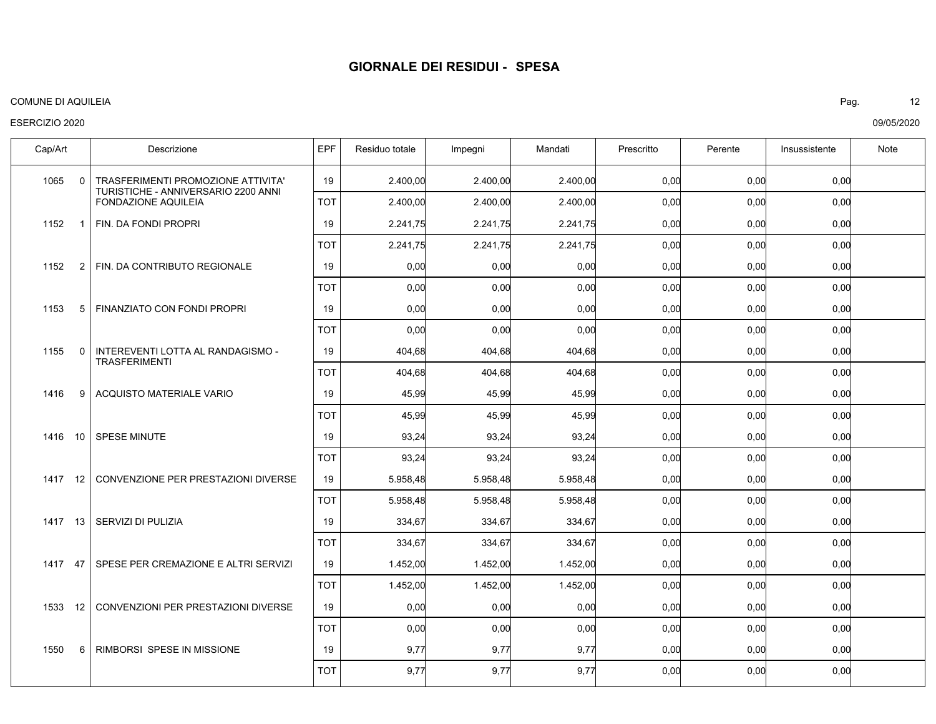#### COMUNE DI AQUILEIA Pag. 12

## ESERCIZIO 2020

| Cap/Art             | Descrizione                                                | EPF        | Residuo totale | Impegni  | Mandati  | Prescritto | Perente | Insussistente | Note |
|---------------------|------------------------------------------------------------|------------|----------------|----------|----------|------------|---------|---------------|------|
| 1065                | TRASFERIMENTI PROMOZIONE ATTIVITA'<br>$\Omega$             | 19         | 2.400.00       | 2.400.00 | 2.400.00 | 0,00       | 0,00    | 0,00          |      |
|                     | TURISTICHE - ANNIVERSARIO 2200 ANNI<br>FONDAZIONE AQUILEIA | <b>TOT</b> | 2.400,00       | 2.400,00 | 2.400,00 | 0,00       | 0,00    | 0,00          |      |
| 1152<br>$\mathbf 1$ | FIN. DA FONDI PROPRI                                       | 19         | 2.241,75       | 2.241,75 | 2.241,75 | 0,00       | 0,00    | 0,00          |      |
|                     |                                                            | <b>TOT</b> | 2.241,75       | 2.241,75 | 2.241,75 | 0,00       | 0,00    | 0,00          |      |
| 1152<br>2           | FIN. DA CONTRIBUTO REGIONALE                               | 19         | 0,00           | 0,00     | 0,00     | 0,00       | 0,00    | 0,00          |      |
|                     |                                                            | <b>TOT</b> | 0,00           | 0,00     | 0,00     | 0,00       | 0,00    | 0,00          |      |
| 1153<br>5           | FINANZIATO CON FONDI PROPRI                                | 19         | 0,00           | 0,00     | 0,00     | 0,00       | 0,00    | 0,00          |      |
|                     |                                                            | <b>TOT</b> | 0,00           | 0,00     | 0,00     | 0,00       | 0,00    | 0,00          |      |
| 1155<br>$\Omega$    | INTEREVENTI LOTTA AL RANDAGISMO -<br><b>TRASFERIMENTI</b>  | 19         | 404,68         | 404,68   | 404,68   | 0,00       | 0,00    | 0,00          |      |
|                     |                                                            | <b>TOT</b> | 404,68         | 404,68   | 404,68   | 0,00       | 0,00    | 0,00          |      |
| 1416<br>9           | <b>ACQUISTO MATERIALE VARIO</b>                            | 19         | 45,99          | 45,99    | 45,99    | 0,00       | 0,00    | 0,00          |      |
|                     |                                                            | <b>TOT</b> | 45,99          | 45,99    | 45,99    | 0,00       | 0,00    | 0,00          |      |
| 1416<br>10          | <b>SPESE MINUTE</b>                                        | 19         | 93,24          | 93,24    | 93,24    | 0,00       | 0,00    | 0,00          |      |
|                     |                                                            | <b>TOT</b> | 93,24          | 93,24    | 93,24    | 0,00       | 0,00    | 0,00          |      |
| 1417<br>12          | CONVENZIONE PER PRESTAZIONI DIVERSE                        | 19         | 5.958,48       | 5.958,48 | 5.958,48 | 0,00       | 0,00    | 0,00          |      |
|                     |                                                            | <b>TOT</b> | 5.958,48       | 5.958,48 | 5.958,48 | 0,00       | 0,00    | 0,00          |      |
| 1417 13             | SERVIZI DI PULIZIA                                         | 19         | 334,67         | 334,67   | 334,67   | 0,00       | 0,00    | 0,00          |      |
|                     |                                                            | <b>TOT</b> | 334,67         | 334,67   | 334,67   | 0,00       | 0,00    | 0,00          |      |
| 1417 47             | SPESE PER CREMAZIONE E ALTRI SERVIZI                       | 19         | 1.452,00       | 1.452,00 | 1.452,00 | 0,00       | 0,00    | 0,00          |      |
|                     |                                                            | <b>TOT</b> | 1.452,00       | 1.452,00 | 1.452,00 | 0,00       | 0,00    | 0,00          |      |
| 1533<br>12          | CONVENZIONI PER PRESTAZIONI DIVERSE                        | 19         | 0,00           | 0,00     | 0,00     | 0,00       | 0,00    | 0,00          |      |
|                     |                                                            | <b>TOT</b> | 0,00           | 0,00     | 0,00     | 0,00       | 0,00    | 0,00          |      |
| 1550<br>6           | RIMBORSI SPESE IN MISSIONE                                 | 19         | 9,77           | 9,77     | 9,77     | 0,00       | 0,00    | 0,00          |      |
|                     |                                                            | <b>TOT</b> | 9,77           | 9,77     | 9,77     | 0,00       | 0,00    | 0,00          |      |
|                     |                                                            |            |                |          |          |            |         |               |      |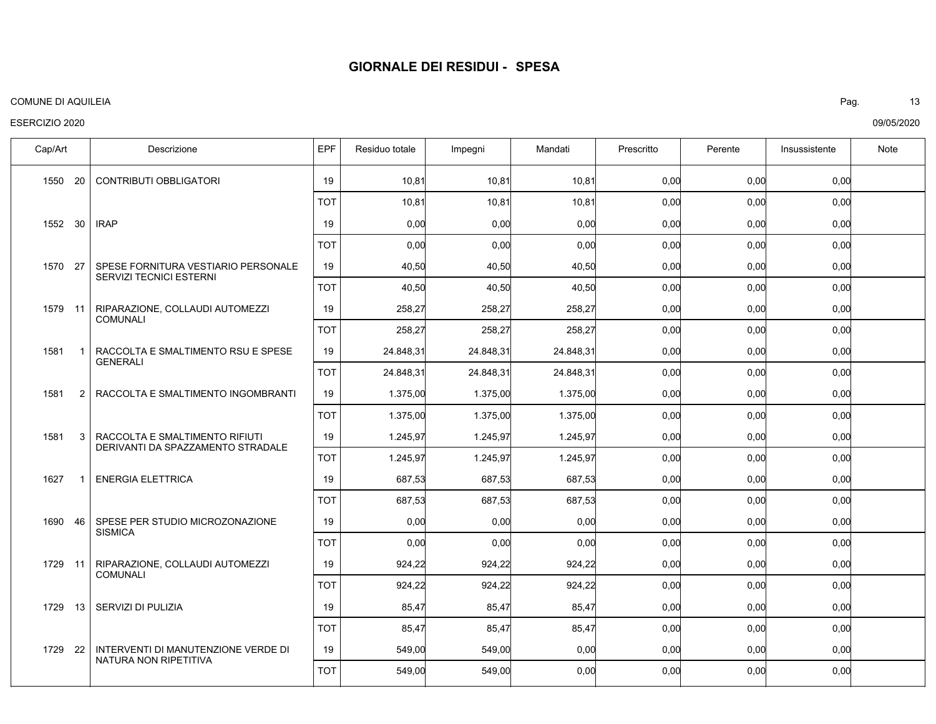#### COMUNE DI AQUILEIA Pag. 13

## ESERCIZIO 2020

CONTRIBUTI OBBLIGATORI IRAP SPESE FORNITURA VESTIARIO PERSONALE SERVIZI TECNICI ESTERNI RIPARAZIONE, COLLAUDI AUTOMEZZI COMUNALI RACCOLTA E SMALTIMENTO RSU E SPESE GENERALI RACCOLTA E SMALTIMENTO INGOMBRANTI RACCOLTA E SMALTIMENTO RIFIUTI DERIVANTI DA SPAZZAMENTO STRADALE ENERGIA ELETTRICA SPESE PER STUDIO MICROZONAZIONE **SISMICA** RIPARAZIONE, COLLAUDI AUTOMEZZI COMUNALI SERVIZI DI PULIZIA INTERVENTI DI MANUTENZIONE VERDE DI NATURA NON RIPETITIVA 1550 1552 30 1570 27 1579 11 1581 1581 1581 1627 1690 1729 11 1729 13 1729 22 Cap/Art | Descrizione IEPF Residuo totale Impegni | Mandati | Prescritto | Perente | Insussistente | Note 20 1 2 3 1 46 0,00 0,00 0,00 0,00 0,00 0,00 0,00 0,00 0,00 0,00 0,00 0,00 10,81 0,00 40,50 258,27 24.848,31 1.375,00 1.245,97 687,53 0,00 924,22 85,47 549,00 10,81 0,00 40,50 258,27 24.848,31 1.375,00 1.245,97 687,53 0,00 924,22 85,47 549,00 10,81 0,00 40,50 258,27 24.848,31 1.375,00 1.245,97 687,53 0,00 924,22 85,47 0,00 0,00 0,00 0,00 0,00 0,00 0,00 0,00 0,00 0,00 0,00 0,00 0,00 0,00 0,00 0,00 0,00 0,00 0,00 0,00 0,00 0,00 0,00 0,00 0,00 19 19 19 19 19 19 19 19 19 19 19 19 0,00 0,00 0,00 0,00 0,00 0,00 0,00 0,00 0,00 0,00 0,00 0,00 10,81 0,00 40,50 258,27 24.848,31 1.375,00 1.245,97 687,53 0,00 924,22 85,47 549,00 10,81 0,00 40,50 258,27 24.848,31 1.375,00 1.245,97 687,53 0,00 924,22 85,47 549,00 10,81 0,00 40,50 258,27 24.848,31 1.375,00 1.245,97 687,53 0,00 924,22 85,47 0,00 0,00 0,00 0,00 0,00 0,00 0,00 0,00 0,00 0,00 0,00 0,00 0,00 0,00 0,00 0,00 0,00 0,00 0,00 0,00 0,00 0,00 0,00 0,00 0,00 TOT TOT TOT TOT TOT TOT TOT TOT TOT TOT TOT TOT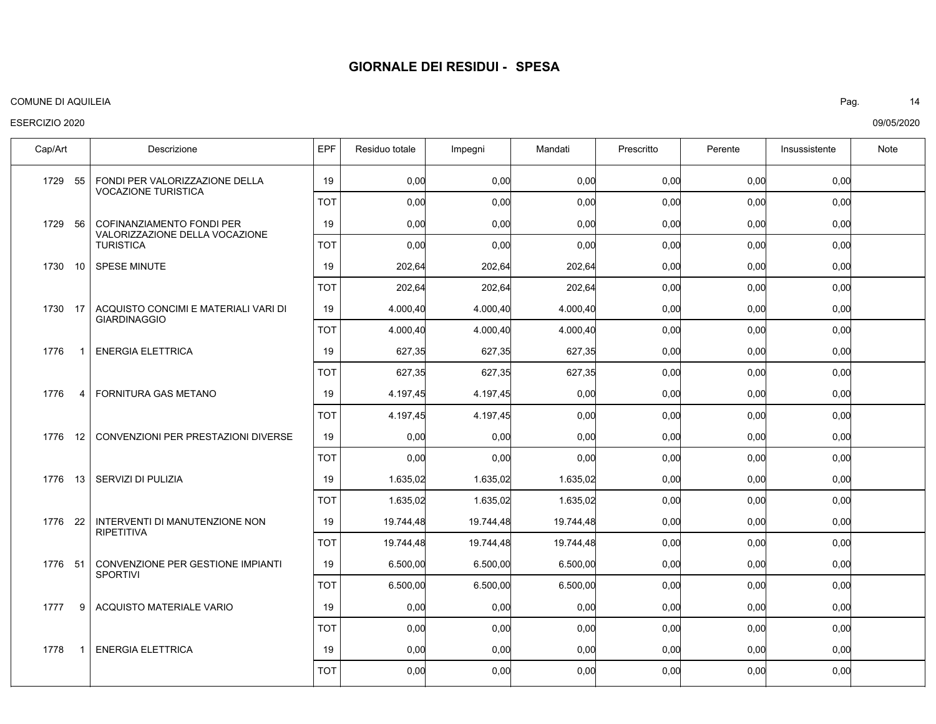#### COMUNE DI AQUILEIA Pag. 14

## ESERCIZIO 2020

FONDI PER VALORIZZAZIONE DELLA VOCAZIONE TURISTICA COFINANZIAMENTO FONDI PER VALORIZZAZIONE DELLA VOCAZIONE TURISTICA SPESE MINUTE ACQUISTO CONCIMI E MATERIALI VARI DI GIARDINAGGIO ENERGIA ELETTRICA FORNITURA GAS METANO CONVENZIONI PER PRESTAZIONI DIVERSE 1776 13 | SERVIZI DI PULIZIA INTERVENTI DI MANUTENZIONE NON RIPETITIVA CONVENZIONE PER GESTIONE IMPIANTI SPORTIVI ACQUISTO MATERIALE VARIO ENERGIA ELETTRICA 1729 1729 56 1730 10 1730 17 1776 1776 1776 1776 1776 51 1777 1778 Cap/Art | Descrizione IEPF Residuo totale Impegni | Mandati | Prescritto | Perente | Insussistente | Note 55 1 4  $12$ 22 9 1 0,00 0,00 0,00 0,00 0,00 0,00 0,00 0,00 0,00 0,00 0,00 0,00 0,00 0,00 202,64 4.000,40 627,35 4.197,45 0,00 1.635,02 19.744,48 6.500,00 0,00 0,00 0,00 0,00 202,64 4.000,40 627,35 4.197,45 0,00 1.635,02 19.744,48 6.500,00 0,00 0,00 0,00 0,00 202,64 4.000,40 627,35 0,00 0,00 1.635,02 19.744,48 6.500,00 0,00 0,00 0,00 0,00 0,00 0,00 0,00 0,00 0,00 0,00 0,00 0,00 0,00 0,00 0,00 0,00 0,00 0,00 0,00 0,00 0,00 0,00 0,00 0,00 0,00 0,00 19 19 19 19 19 19 19 19 19 19 19 19 0,00 0,00 0,00 0,00 0,00 0,00 0,00 0,00 0,00 0,00 0,00 0,00 0,00 0,00 202,64 4.000,40 627,35 4.197,45 0,00 1.635,02 19.744,48 6.500,00 0,00 0,00 0,00 0,00 202,64 4.000,40 627,35 4.197,45 0,00 1.635,02 19.744,48 6.500,00 0,00 0,00 0,00 0,00 202,64 4.000,40 627,35 0,00 0,00 1.635,02 19.744,48 6.500,00 0,00 0,00 0,00 0,00 0,00 0,00 0,00 0,00 0,00 0,00 0,00 0,00 0,00 0,00 0,00 0,00 0,00 0,00 0,00 0,00 0,00 0,00 0,00 0,00 0,00 0,00 TOT TOT TOT TOT TOT TOT TOT TOT TOT TOT TOT TOT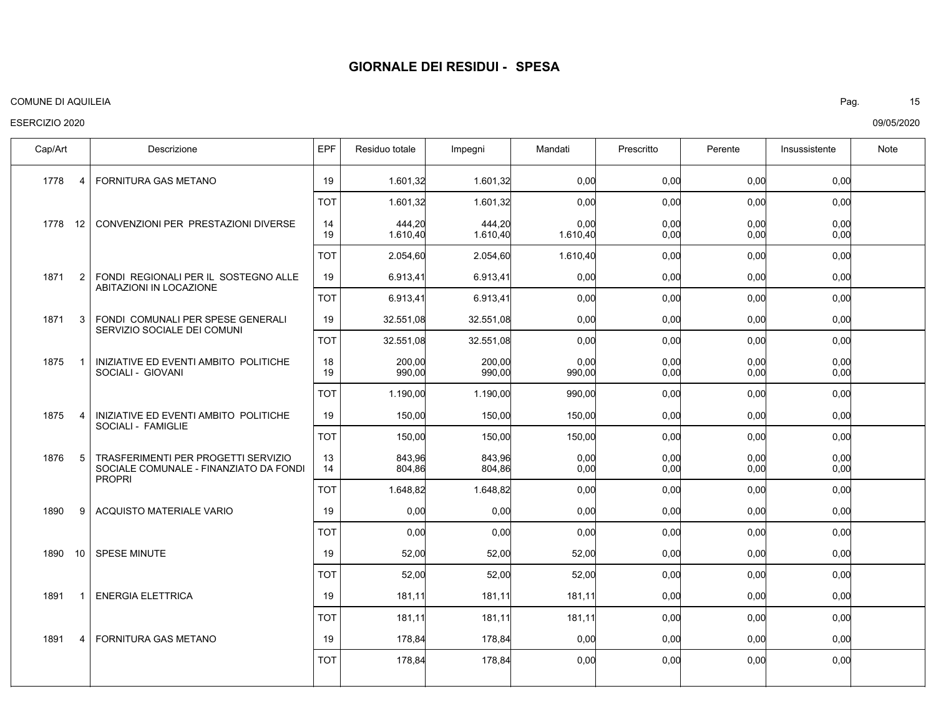#### COMUNE DI AQUILEIA Pag. 15

## ESERCIZIO 2020

FORNITURA GAS METANO CONVENZIONI PER PRESTAZIONI DIVERSE FONDI REGIONALI PER IL SOSTEGNO ALLE ABITAZIONI IN LOCAZIONE FONDI COMUNALI PER SPESE GENERALI SERVIZIO SOCIALE DEI COMUNI INIZIATIVE ED EVENTI AMBITO POLITICHE SOCIALI - GIOVANI INIZIATIVE ED EVENTI AMBITO POLITICHE SOCIALI - FAMIGLIE TRASFERIMENTI PER PROGETTI SERVIZIO SOCIALE COMUNALE - FINANZIATO DA FONDI PROPRI ACQUISTO MATERIALE VARIO SPESE MINUTE ENERGIA ELETTRICA FORNITURA GAS METANO 1778 1778 12 1871 1871 1875 1875 1876 1890 1890 1891 1891 Cap/Art | Descrizione IEPF Residuo totale Impegni | Mandati | Prescritto | Perente | Insussistente | Note 4 2 3 1 4 5 9 10 1 4 0,00 0,00 0,00 0,00 0,00 0,00 0,00 0,00 0,00  $0.00$ 0,00 0,00 0,00 0,00 1.601,32 444,20 1.610,40 6.913,41 32.551,08 200,00 990,00 150,00 843,96 804,86 0,00 52,00 181,11 178,84 1.601,32 444,20 1.610,40 6.913,41 32.551,08 200,00 990,00 150,00 843,96 804,86 0,00 52,00 181,11 178,84 0,00 0,00 1.610,40 0,00 0,00 0,00 990,00 150,00 0,00  $0.00$ 0,00 52,00 181,11 0,00 0,00 0,00 0,00 0,00 0,00 0,00 0,00 0,00 0,00 0,00 0,00 0,00 0,00 0,00 0,00 0,00 0,00 0,00 0,00 0,00 0,00 0,00 0,00 0,00 0,00 0,00 0,00 0,00 19 14 19 19 19 18 19 19 13 14 19 19 19 19 0,00 0,00 0,00 0,00 0,00 0,00 0,00 0,00 0,00 0,00 0,00 1.601,32 2.054,60 6.913,41 32.551,08 1.190,00 150,00 1.648,82 0,00 52,00 181,11 178,84 1.601,32 2.054,60 6.913,41 32.551,08 1.190,00 150,00 1.648,82 0,00 52,00 181,11 178,84 0,00 1.610,40 0,00 0,00 990,00 150,00 0,00 0,00 52,00 181,11 0,00 0,00 0,00 0,00 0,00 0,00 0,00 0,00 0,00 0,00 0,00 0,00 0,00 0,00 0,00 0,00 0,00 0,00 0,00 0,00 0,00 0,00 0,00 TOT TOT TOT TOT TOT TOT TOT TOT TOT TOT TOT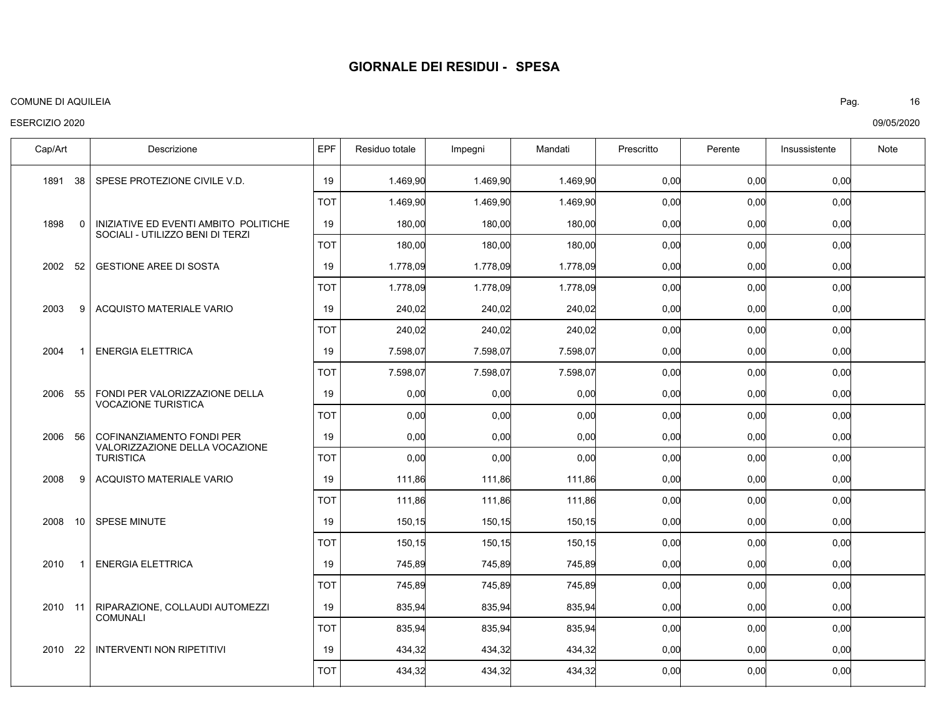#### COMUNE DI AQUILEIA Pag. 16

## ESERCIZIO 2020

| Cap/Art    | Descrizione                                                  | <b>EPF</b> | Residuo totale | Impegni  | Mandati  | Prescritto | Perente | Insussistente | Note |
|------------|--------------------------------------------------------------|------------|----------------|----------|----------|------------|---------|---------------|------|
| 1891 38    | SPESE PROTEZIONE CIVILE V.D.                                 | 19         | 1.469.90       | 1.469.90 | 1.469.90 | 0,00       | 0,00    | 0,00          |      |
|            |                                                              | ТОТ        | 1.469,90       | 1.469,90 | 1.469,90 | 0,00       | 0,00    | 0,00          |      |
| 1898<br>0  | INIZIATIVE ED EVENTI AMBITO POLITICHE                        | 19         | 180,00         | 180,00   | 180,00   | 0,00       | 0,00    | 0,00          |      |
|            | SOCIALI - UTILIZZO BENI DI TERZI                             | <b>TOT</b> | 180,00         | 180,00   | 180,00   | 0,00       | 0,00    | 0,00          |      |
| 2002 52    | <b>GESTIONE AREE DI SOSTA</b>                                | 19         | 1.778,09       | 1.778,09 | 1.778.09 | 0,00       | 0,00    | 0.00          |      |
|            |                                                              | <b>TOT</b> | 1.778,09       | 1.778,09 | 1.778,09 | 0,00       | 0,00    | 0,00          |      |
| 2003<br>9  | ACQUISTO MATERIALE VARIO                                     | 19         | 240,02         | 240,02   | 240,02   | 0,00       | 0,00    | 0,00          |      |
|            |                                                              | <b>TOT</b> | 240,02         | 240,02   | 240,02   | 0,00       | 0,00    | 0,00          |      |
| 2004       | <b>ENERGIA ELETTRICA</b>                                     | 19         | 7.598.07       | 7.598.07 | 7.598.07 | 0,00       | 0,00    | 0,00          |      |
|            |                                                              | <b>TOT</b> | 7.598,07       | 7.598,07 | 7.598,07 | 0,00       | 0,00    | 0,00          |      |
| 2006 55    | FONDI PER VALORIZZAZIONE DELLA<br><b>VOCAZIONE TURISTICA</b> | 19         | 0,00           | 0,00     | 0,00     | 0,00       | 0,00    | 0,00          |      |
|            |                                                              | TOT        | 0,00           | 0,00     | 0,00     | 0,00       | 0,00    | 0,00          |      |
| 2006 56    | COFINANZIAMENTO FONDI PER<br>VALORIZZAZIONE DELLA VOCAZIONE  | 19         | 0,00           | 0,00     | 0,00     | 0,00       | 0,00    | 0,00          |      |
|            | <b>TURISTICA</b>                                             | <b>TOT</b> | 0,00           | 0,00     | 0,00     | 0,00       | 0,00    | 0,00          |      |
| 2008<br>9  | ACQUISTO MATERIALE VARIO                                     | 19         | 111,86         | 111,86   | 111,86   | 0,00       | 0,00    | 0,00          |      |
|            |                                                              | TOT        | 111,86         | 111,86   | 111,86   | 0,00       | 0,00    | 0,00          |      |
| 2008<br>10 | <b>SPESE MINUTE</b>                                          | 19         | 150,15         | 150,15   | 150,15   | 0,00       | 0,00    | 0,00          |      |
|            |                                                              | <b>TOT</b> | 150,15         | 150,15   | 150,15   | 0,00       | 0,00    | 0,00          |      |
| 2010<br>-1 | <b>ENERGIA ELETTRICA</b>                                     | 19         | 745,89         | 745,89   | 745,89   | 0,00       | 0,00    | 0,00          |      |
|            |                                                              | TOT        | 745,89         | 745,89   | 745,89   | 0,00       | 0,00    | 0,00          |      |
| 2010 11    | RIPARAZIONE, COLLAUDI AUTOMEZZI<br><b>COMUNALI</b>           | 19         | 835,94         | 835,94   | 835,94   | 0,00       | 0,00    | 0,00          |      |
|            |                                                              | <b>TOT</b> | 835,94         | 835,94   | 835,94   | 0,00       | 0,00    | 0,00          |      |
| 2010 22    | <b>INTERVENTI NON RIPETITIVI</b>                             | 19         | 434,32         | 434,32   | 434,32   | 0,00       | 0,00    | 0,00          |      |
|            |                                                              | <b>TOT</b> | 434,32         | 434,32   | 434,32   | 0,00       | 0,00    | 0,00          |      |
|            |                                                              |            |                |          |          |            |         |               |      |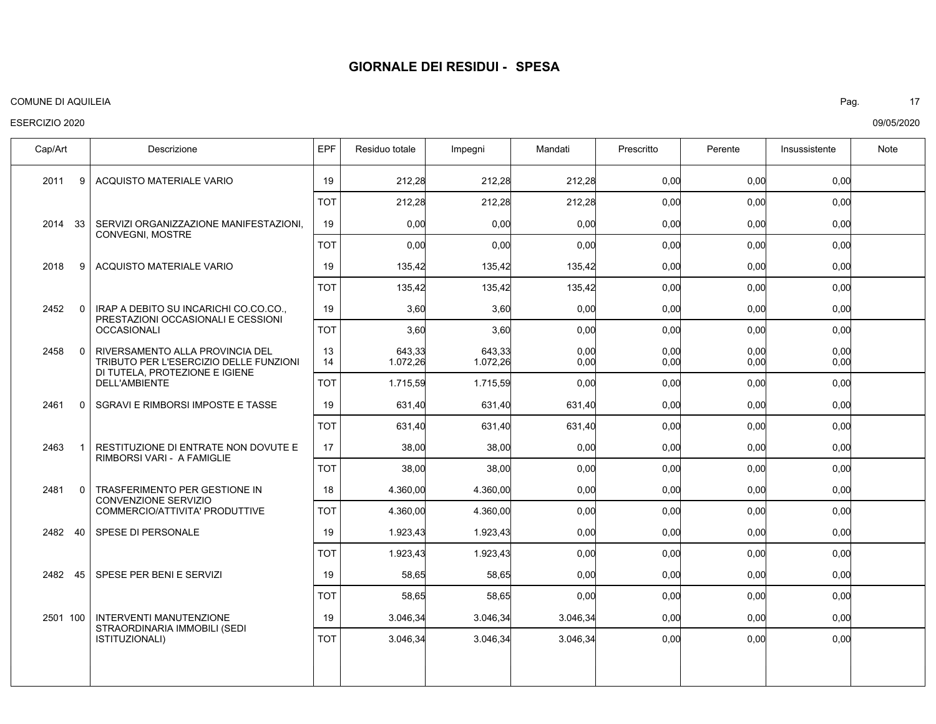#### COMUNE DI AQUILEIA Pag. 17

## ESERCIZIO 2020

ACQUISTO MATERIALE VARIO SERVIZI ORGANIZZAZIONE MANIFESTAZIONI, CONVEGNI, MOSTRE ACQUISTO MATERIALE VARIO IRAP A DEBITO SU INCARICHI CO.CO.CO., PRESTAZIONI OCCASIONALI E CESSIONI OCCASIONALI RIVERSAMENTO ALLA PROVINCIA DEL TRIBUTO PER L'ESERCIZIO DELLE FUNZIONI DI TUTELA, PROTEZIONE E IGIENE DELL'AMBIENTE SGRAVI E RIMBORSI IMPOSTE E TASSE RESTITUZIONE DI ENTRATE NON DOVUTE E RIMBORSI VARI - A FAMIGLIE TRASFERIMENTO PER GESTIONE IN CONVENZIONE SERVIZIO COMMERCIO/ATTIVITA' PRODUTTIVE SPESE DI PERSONALE SPESE PER BENI E SERVIZI INTERVENTI MANUTENZIONE STRAORDINARIA IMMOBILI (SEDI ISTITUZIONALI) 2011 2014 33 2018 2452 2458 2461 2463 2481 2482 40 2482 45 2501 100 Cap/Art | Descrizione IEPF Residuo totale Impegni | Mandati | Prescritto | Perente | Insussistente | Note 9 9 0 0 0 1 0 0,00 0,00 0,00 0,00 0,00 0,00 0,00 0,00 0,00 0,00 0,00 0,00 212,28 0,00 135,42 3,60 643,33 1.072,26 631,40 38,00 4.360,00 1.923,43 58,65 3.046,34 212,28 0,00 135,42 3,60 643,33 1.072,26 631,40 38,00 4.360,00 1.923,43 58,65 3.046,34 212,28 0,00 135,42 0,00 0,00  $0.00$ 631,40 0,00 0,00 0,00 0,00 3.046,34 0,00 0,00 0,00 0,00 0,00 0,00 0,00 0,00 0,00 0,00 0,00 0,00 0,00 0,00 0,00 0,00 0,00 0,00 0,00 0,00 0,00 0,00 0,00 0,00 19 19 19 19 13 14 19 17 18 19 19 19 0,00 0,00 0,00 0,00 0,00 0,00 0,00 0,00 0,00 0,00 0,00 212,28 0,00 135,42 3,60 1.715,59 631,40 38,00 4.360,00 1.923,43 58,65 3.046,34 212,28 0,00 135,42 3,60 1.715,59 631,40 38,00 4.360,00 1.923,43 58,65 3.046,34 212,28 0,00 135,42 0,00 0,00 631,40 0,00 0,00 0,00 0,00 3.046,34 0,00 0,00 0,00 0,00 0,00 0,00 0,00 0,00 0,00 0,00 0,00 0,00 0,00 0,00 0,00 0,00 0,00  $0.00$ 0,00 0,00 0,00 0,00 TOT TOT TOT TOT TOT TOT TOT TOT TOT TOT TOT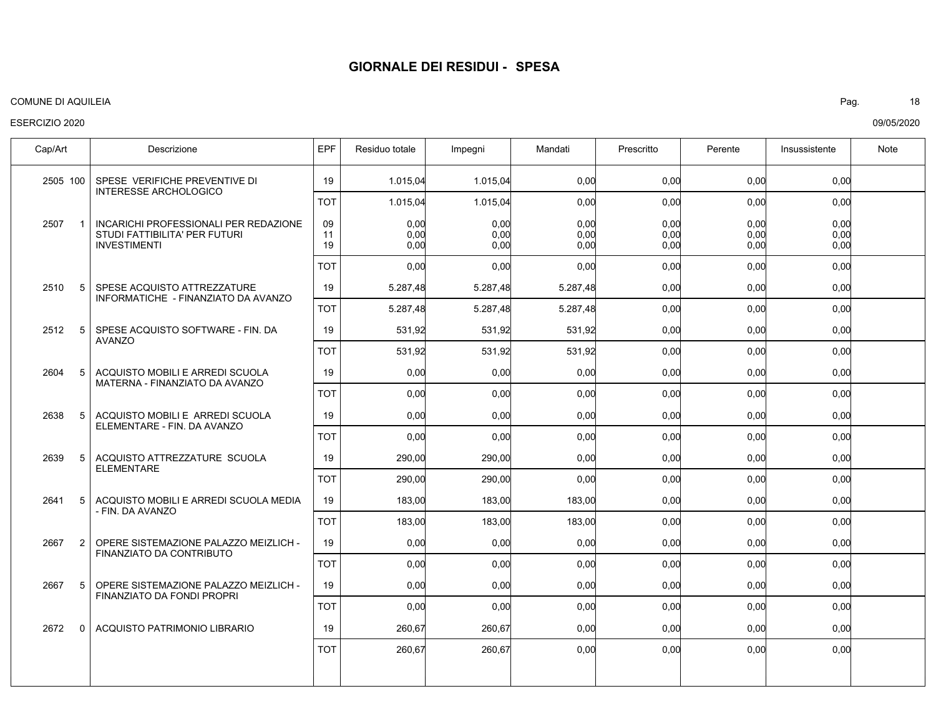## ESERCIZIO 2020

09/05/2020 COMUNE DI AQUILEIA Pag. 18

| Cap/Art                | Descrizione                                                                                   | EPF            | Residuo totale       | Impegni              | Mandati              | Prescritto           | Perente              | Insussistente        | Note |
|------------------------|-----------------------------------------------------------------------------------------------|----------------|----------------------|----------------------|----------------------|----------------------|----------------------|----------------------|------|
| 2505 100               | SPESE VERIFICHE PREVENTIVE DI                                                                 | 19             | 1.015,04             | 1.015,04             | 0,00                 | 0.00                 | 0,00                 | 0,00                 |      |
|                        | <b>INTERESSE ARCHOLOGICO</b>                                                                  | <b>TOT</b>     | 1.015,04             | 1.015,04             | 0,00                 | 0,00                 | 0,00                 | 0,00                 |      |
| 2507<br>$\mathbf{1}$   | INCARICHI PROFESSIONALI PER REDAZIONE<br>STUDI FATTIBILITA' PER FUTURI<br><b>INVESTIMENTI</b> | 09<br>11<br>19 | 0,00<br>0,00<br>0,00 | 0,00<br>0,00<br>0,00 | 0,00<br>0,00<br>0,00 | 0,00<br>0,00<br>0,00 | 0,00<br>0,00<br>0,00 | 0,00<br>0,00<br>0,00 |      |
|                        |                                                                                               | TOT            | 0.00 <sub>l</sub>    | 0.00                 | 0.00                 | 0.00                 | 0.00                 | 0,00                 |      |
| 5<br>2510              | SPESE ACQUISTO ATTREZZATURE<br>INFORMATICHE - FINANZIATO DA AVANZO                            | 19             | 5.287,48             | 5.287,48             | 5.287,48             | 0.00                 | 0,00                 | 0,00                 |      |
|                        |                                                                                               | <b>TOT</b>     | 5.287,48             | 5.287,48             | 5.287,48             | 0,00                 | 0,00                 | 0,00                 |      |
| 2512<br>5              | SPESE ACQUISTO SOFTWARE - FIN. DA<br><b>AVANZO</b>                                            | 19             | 531,92               | 531,92               | 531,92               | 0,00                 | 0,00                 | 0,00                 |      |
|                        |                                                                                               | <b>TOT</b>     | 531,92               | 531,92               | 531,92               | 0,00                 | 0,00                 | 0,00                 |      |
| 5<br>2604              | ACQUISTO MOBILI E ARREDI SCUOLA<br>MATERNA - FINANZIATO DA AVANZO                             | 19             | 0,00                 | 0,00                 | 0,00                 | 0,00                 | 0,00                 | 0,00                 |      |
|                        |                                                                                               | <b>TOT</b>     | 0,00                 | 0,00                 | 0,00                 | 0,00                 | 0,00                 | 0,00                 |      |
| 2638<br>5              | ACQUISTO MOBILI E ARREDI SCUOLA<br>ELEMENTARE - FIN. DA AVANZO                                | 19             | 0,00                 | 0,00                 | 0,00                 | 0,00                 | 0,00                 | 0,00                 |      |
|                        |                                                                                               | TOT            | 0,00                 | 0.00                 | 0.00                 | 0.00                 | 0,00                 | 0,00                 |      |
| 2639<br>5              | ACQUISTO ATTREZZATURE SCUOLA<br><b>ELEMENTARE</b>                                             | 19             | 290.00               | 290.00               | 0.00                 | 0.00                 | 0.00                 | 0.00                 |      |
|                        |                                                                                               | <b>TOT</b>     | 290,00               | 290,00               | 0,00                 | 0,00                 | 0,00                 | 0,00                 |      |
| 2641<br>5              | ACQUISTO MOBILI E ARREDI SCUOLA MEDIA<br>- FIN. DA AVANZO                                     | 19             | 183,00               | 183,00               | 183,00               | 0.00                 | 0,00                 | 0,00                 |      |
|                        |                                                                                               | <b>TOT</b>     | 183,00               | 183,00               | 183,00               | 0,00                 | 0,00                 | 0,00                 |      |
| 2667<br>$\overline{2}$ | OPERE SISTEMAZIONE PALAZZO MEIZLICH -<br>FINANZIATO DA CONTRIBUTO                             | 19             | 0,00                 | 0,00                 | 0,00                 | 0,00                 | 0,00                 | 0,00                 |      |
|                        |                                                                                               | <b>TOT</b>     | 0,00                 | 0,00                 | 0,00                 | 0,00                 | 0,00                 | 0,00                 |      |
| 2667<br>5              | OPERE SISTEMAZIONE PALAZZO MEIZLICH -<br>FINANZIATO DA FONDI PROPRI                           | 19             | 0,00                 | 0,00                 | 0,00                 | 0,00                 | 0,00                 | 0,00                 |      |
|                        |                                                                                               | TOT            | 0,00                 | 0,00                 | 0,00                 | 0,00                 | 0,00                 | 0,00                 |      |
| 2672<br>$\Omega$       | ACQUISTO PATRIMONIO LIBRARIO                                                                  | 19             | 260.67               | 260.67               | 0.00                 | 0.00                 | 0,00                 | 0,00                 |      |
|                        |                                                                                               | <b>TOT</b>     | 260,67               | 260,67               | 0,00                 | 0,00                 | 0,00                 | 0,00                 |      |
|                        |                                                                                               |                |                      |                      |                      |                      |                      |                      |      |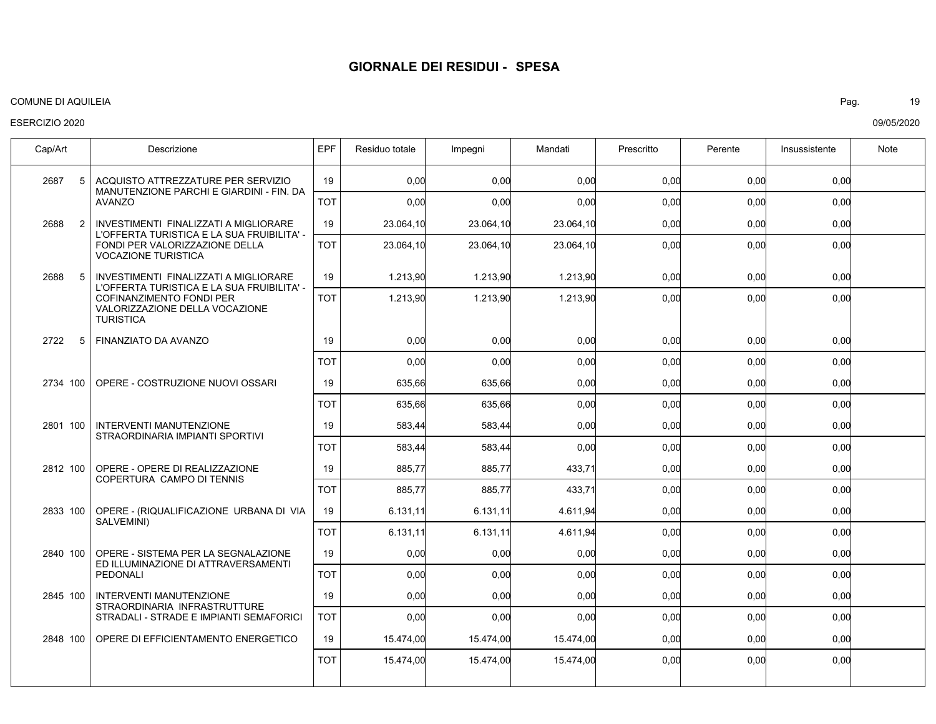#### COMUNE DI AQUILEIA Pag. 19

## ESERCIZIO 2020

| Cap/Art                | Descrizione                                                                                                                  | EPF        | Residuo totale | Impegni   | Mandati   | Prescritto | Perente | Insussistente | Note |
|------------------------|------------------------------------------------------------------------------------------------------------------------------|------------|----------------|-----------|-----------|------------|---------|---------------|------|
| 5<br>2687              | ACQUISTO ATTREZZATURE PER SERVIZIO                                                                                           | 19         | 0.00           | 0.00      | 0.00      | 0.00       | 0.00    | 0.00          |      |
|                        | MANUTENZIONE PARCHI E GIARDINI - FIN. DA<br><b>AVANZO</b>                                                                    | <b>TOT</b> | 0,00           | 0,00      | 0,00      | 0,00       | 0,00    | 0,00          |      |
| 2688<br>$\overline{2}$ | INVESTIMENTI FINALIZZATI A MIGLIORARE<br>L'OFFERTA TURISTICA E LA SUA FRUIBILITA' -                                          | 19         | 23.064,10      | 23.064,10 | 23.064,10 | 0,00       | 0,00    | 0,00          |      |
|                        | FONDI PER VALORIZZAZIONE DELLA<br><b>VOCAZIONE TURISTICA</b>                                                                 | <b>TOT</b> | 23.064.10      | 23.064,10 | 23.064,10 | 0.00       | 0.00    | 0.00          |      |
| 2688<br>5              | INVESTIMENTI FINALIZZATI A MIGLIORARE                                                                                        | 19         | 1.213,90       | 1.213,90  | 1.213,90  | 0,00       | 0,00    | 0,00          |      |
|                        | L'OFFERTA TURISTICA E LA SUA FRUIBILITA' -<br>COFINANZIMENTO FONDI PER<br>VALORIZZAZIONE DELLA VOCAZIONE<br><b>TURISTICA</b> | <b>TOT</b> | 1.213,90       | 1.213,90  | 1.213,90  | 0,00       | 0,00    | 0,00          |      |
| 2722<br>5              | FINANZIATO DA AVANZO                                                                                                         | 19         | 0,00           | 0,00      | 0,00      | 0,00       | 0,00    | 0,00          |      |
|                        |                                                                                                                              | <b>TOT</b> | 0,00           | 0,00      | 0,00      | 0,00       | 0,00    | 0,00          |      |
| 2734 100               | OPERE - COSTRUZIONE NUOVI OSSARI                                                                                             | 19         | 635,66         | 635,66    | 0,00      | 0,00       | 0,00    | 0,00          |      |
|                        |                                                                                                                              | <b>TOT</b> | 635,66         | 635,66    | 0,00      | 0,00       | 0,00    | 0,00          |      |
| 2801 100               | <b>INTERVENTI MANUTENZIONE</b><br>STRAORDINARIA IMPIANTI SPORTIVI                                                            | 19         | 583,44         | 583,44    | 0,00      | 0,00       | 0,00    | 0,00          |      |
|                        |                                                                                                                              | <b>TOT</b> | 583,44         | 583,44    | 0,00      | 0.00       | 0,00    | 0,00          |      |
| 2812 100               | OPERE - OPERE DI REALIZZAZIONE                                                                                               | 19         | 885.77         | 885.77    | 433.71    | 0.00       | 0.00    | 0,00          |      |
|                        | COPERTURA CAMPO DI TENNIS                                                                                                    | <b>TOT</b> | 885,77         | 885,77    | 433,71    | 0,00       | 0,00    | 0,00          |      |
| 2833 100               | OPERE - (RIQUALIFICAZIONE URBANA DI VIA<br>SALVEMINI)                                                                        | 19         | 6.131,11       | 6.131, 11 | 4.611,94  | 0,00       | 0,00    | 0,00          |      |
|                        |                                                                                                                              | <b>TOT</b> | 6.131.11       | 6.131,11  | 4.611,94  | 0.00       | 0.00    | 0.00          |      |
| 2840 100               | OPERE - SISTEMA PER LA SEGNALAZIONE<br>ED ILLUMINAZIONE DI ATTRAVERSAMENTI                                                   | 19         | 0,00           | 0,00      | 0,00      | 0,00       | 0.00    | 0,00          |      |
|                        | PEDONALI                                                                                                                     | <b>TOT</b> | 0,00           | 0,00      | 0,00      | 0.00       | 0,00    | 0,00          |      |
| 2845 100               | <b>INTERVENTI MANUTENZIONE</b><br>STRAORDINARIA INFRASTRUTTURE                                                               | 19         | 0.00           | 0.00      | 0.00      | 0.00       | 0.00    | 0,00          |      |
|                        | STRADALI - STRADE E IMPIANTI SEMAFORICI                                                                                      | <b>TOT</b> | 0,00           | 0,00      | 0,00      | 0,00       | 0,00    | 0,00          |      |
| 2848 100               | OPERE DI EFFICIENTAMENTO ENERGETICO                                                                                          | 19         | 15.474,00      | 15.474,00 | 15.474,00 | 0,00       | 0,00    | 0,00          |      |
|                        |                                                                                                                              | <b>TOT</b> | 15.474,00      | 15.474,00 | 15.474,00 | 0,00       | 0,00    | 0,00          |      |
|                        |                                                                                                                              |            |                |           |           |            |         |               |      |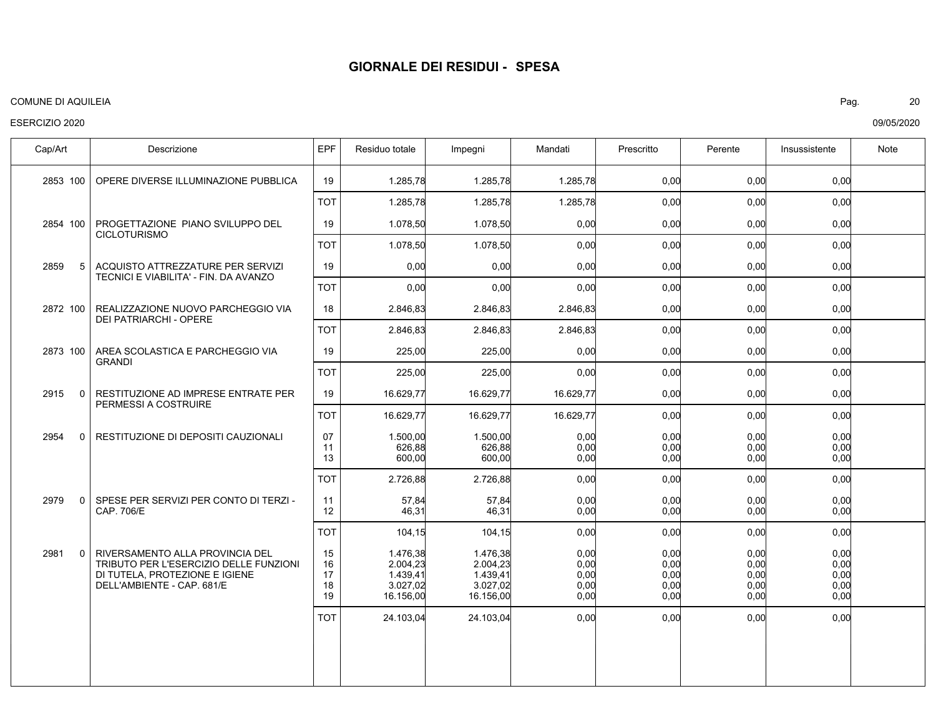#### COMUNE DI AQUILEIA Pag. 20

## ESERCIZIO 2020

| Cap/Art             | Descrizione                                                                                                                               | EPF                        | Residuo totale                                            | Impegni                                                   | Mandati                              | Prescritto                           | Perente                              | Insussistente                        | Note |
|---------------------|-------------------------------------------------------------------------------------------------------------------------------------------|----------------------------|-----------------------------------------------------------|-----------------------------------------------------------|--------------------------------------|--------------------------------------|--------------------------------------|--------------------------------------|------|
| 2853 100            | OPERE DIVERSE ILLUMINAZIONE PUBBLICA                                                                                                      | 19                         | 1.285,78                                                  | 1.285,78                                                  | 1.285,78                             | 0,00                                 | 0,00                                 | 0,00                                 |      |
|                     |                                                                                                                                           | <b>TOT</b>                 | 1.285,78                                                  | 1.285,78                                                  | 1.285,78                             | 0,00                                 | 0,00                                 | 0,00                                 |      |
| 2854 100            | PROGETTAZIONE PIANO SVILUPPO DEL                                                                                                          | 19                         | 1.078,50                                                  | 1.078,50                                                  | 0,00                                 | 0,00                                 | 0,00                                 | 0,00                                 |      |
|                     | <b>CICLOTURISMO</b>                                                                                                                       | тот                        | 1.078,50                                                  | 1.078,50                                                  | 0,00                                 | 0,00                                 | 0,00                                 | 0,00                                 |      |
| 2859<br>5           | ACQUISTO ATTREZZATURE PER SERVIZI<br>TECNICI E VIABILITA' - FIN. DA AVANZO                                                                | 19                         | 0,00                                                      | 0,00                                                      | 0,00                                 | 0,00                                 | 0,00                                 | 0,00                                 |      |
|                     |                                                                                                                                           | <b>TOT</b>                 | 0,00                                                      | 0,00                                                      | 0,00                                 | 0,00                                 | 0,00                                 | 0,00                                 |      |
| 2872 100            | REALIZZAZIONE NUOVO PARCHEGGIO VIA<br><b>DEI PATRIARCHI - OPERE</b>                                                                       | 18                         | 2.846,83                                                  | 2.846,83                                                  | 2.846,83                             | 0,00                                 | 0,00                                 | 0,00                                 |      |
|                     |                                                                                                                                           | <b>TOT</b>                 | 2.846,83                                                  | 2.846,83                                                  | 2.846,83                             | 0,00                                 | 0,00                                 | 0,00                                 |      |
| 2873 100            | AREA SCOLASTICA E PARCHEGGIO VIA<br><b>GRANDI</b>                                                                                         | 19                         | 225,00                                                    | 225,00                                                    | 0,00                                 | 0,00                                 | 0,00                                 | 0,00                                 |      |
|                     |                                                                                                                                           | <b>TOT</b>                 | 225,00                                                    | 225,00                                                    | 0,00                                 | 0,00                                 | 0,00                                 | 0,00                                 |      |
| 2915<br>$\Omega$    | RESTITUZIONE AD IMPRESE ENTRATE PER<br>PERMESSI A COSTRUIRE                                                                               | 19                         | 16.629,77                                                 | 16.629,77                                                 | 16.629,77                            | 0,00                                 | 0,00                                 | 0,00                                 |      |
|                     |                                                                                                                                           | TOT                        | 16.629,77                                                 | 16.629,77                                                 | 16.629,77                            | 0,00                                 | 0,00                                 | 0,00                                 |      |
| 2954<br>0           | RESTITUZIONE DI DEPOSITI CAUZIONALI                                                                                                       | 07<br>11<br>13             | 1.500,00<br>626,88<br>600,00                              | 1.500,00<br>626,88<br>600,00                              | 0,00<br>0,00<br>0,00                 | 0,00<br>0,00<br>0,00                 | 0,00<br>0,00<br>0,00                 | 0,00<br>0,00<br>0,00                 |      |
|                     |                                                                                                                                           | <b>TOT</b>                 | 2.726,88                                                  | 2.726,88                                                  | 0,00                                 | 0,00                                 | 0,00                                 | 0,00                                 |      |
| 2979<br>$\Omega$    | SPESE PER SERVIZI PER CONTO DI TERZI -<br>CAP. 706/E                                                                                      | 11<br>12                   | 57,84<br>46,31                                            | 57,84<br>46,31                                            | 0,00<br>0,00                         | 0,00<br>0,00                         | 0,00<br>0,00                         | 0,00<br>0.00                         |      |
|                     |                                                                                                                                           | TOT                        | 104,15                                                    | 104,15                                                    | 0,00                                 | 0,00                                 | 0,00                                 | 0,00                                 |      |
| 2981<br>$\mathbf 0$ | RIVERSAMENTO ALLA PROVINCIA DEL<br>TRIBUTO PER L'ESERCIZIO DELLE FUNZIONI<br>DI TUTELA, PROTEZIONE E IGIENE<br>DELL'AMBIENTE - CAP. 681/E | 15<br>16<br>17<br>18<br>19 | 1.476,38<br>2.004,23<br>1.439,41<br>3.027,02<br>16.156,00 | 1.476,38<br>2.004,23<br>1.439,41<br>3.027,02<br>16.156,00 | 0,00<br>0.00<br>0,00<br>0,00<br>0,00 | 0,00<br>0,00<br>0,00<br>0,00<br>0,00 | 0,00<br>0.00<br>0,00<br>0,00<br>0,00 | 0,00<br>0,00<br>0,00<br>0,00<br>0,00 |      |
|                     |                                                                                                                                           | TOT                        | 24.103,04                                                 | 24.103,04                                                 | 0,00                                 | 0,00                                 | 0,00                                 | 0,00                                 |      |